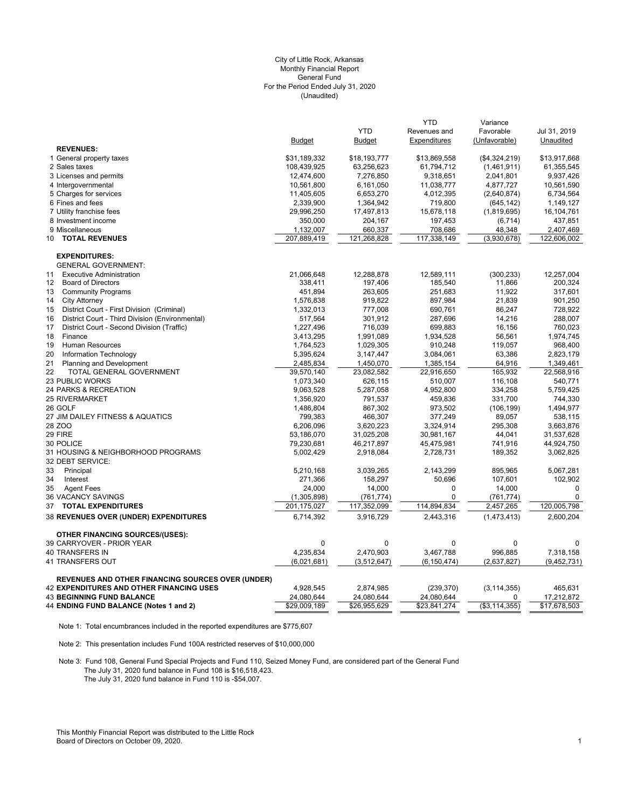## (Unaudited) City of Little Rock, Arkansas Monthly Financial Report General Fund For the Period Ended July 31, 2020

|                                                       |               |               | <b>YTD</b>    | Variance              |              |
|-------------------------------------------------------|---------------|---------------|---------------|-----------------------|--------------|
|                                                       |               | <b>YTD</b>    | Revenues and  | Favorable             | Jul 31, 2019 |
|                                                       | <b>Budget</b> | <b>Budget</b> | Expenditures  | (Unfavorable)         | Unaudited    |
| <b>REVENUES:</b>                                      |               |               |               |                       |              |
| 1 General property taxes                              | \$31,189,332  | \$18,193,777  | \$13,869,558  | (\$4,324,219)         | \$13,917,668 |
| 2 Sales taxes                                         | 108,439,925   | 63,256,623    | 61,794,712    | (1,461,911)           | 61,355,545   |
| 3 Licenses and permits                                | 12,474,600    | 7,276,850     | 9,318,651     | 2,041,801             | 9,937,426    |
| 4 Intergovernmental                                   | 10,561,800    | 6,161,050     | 11,038,777    | 4,877,727             | 10,561,590   |
| 5 Charges for services                                | 11,405,605    | 6,653,270     | 4,012,395     | (2,640,874)           | 6,734,564    |
| 6 Fines and fees                                      | 2,339,900     | 1,364,942     | 719,800       | (645, 142)            | 1,149,127    |
| 7 Utility franchise fees                              | 29,996,250    | 17,497,813    | 15,678,118    | (1,819,695)           | 16,104,761   |
| 8 Investment income                                   | 350,000       | 204,167       | 197,453       | (6, 714)              | 437,851      |
| 9 Miscellaneous                                       | 1,132,007     | 660,337       | 708,686       | 48,348                | 2,407,469    |
| <b>TOTAL REVENUES</b><br>10                           | 207,889,419   | 121,268,828   | 117,338,149   | (3,930,678)           | 122,606,002  |
| <b>EXPENDITURES:</b>                                  |               |               |               |                       |              |
| <b>GENERAL GOVERNMENT:</b>                            |               |               |               |                       |              |
| <b>Executive Administration</b><br>11                 | 21,066,648    | 12,288,878    | 12,589,111    | (300, 233)            | 12,257,004   |
| <b>Board of Directors</b><br>12                       | 338,411       | 197,406       | 185,540       | 11,866                | 200,324      |
| <b>Community Programs</b><br>13                       | 451,894       | 263,605       | 251,683       | 11,922                | 317,601      |
| <b>City Attorney</b><br>14                            | 1,576,838     | 919,822       | 897,984       | 21,839                | 901,250      |
| District Court - First Division (Criminal)<br>15      | 1,332,013     | 777,008       | 690,761       | 86,247                | 728,922      |
| District Court - Third Division (Environmental)<br>16 | 517,564       | 301,912       | 287,696       | 14,216                | 288,007      |
| 17<br>District Court - Second Division (Traffic)      | 1,227,496     | 716,039       | 699,883       | 16,156                | 760,023      |
| 18<br>Finance                                         | 3,413,295     | 1,991,089     | 1,934,528     | 56,561                | 1,974,745    |
| 19<br>Human Resources                                 | 1,764,523     | 1,029,305     | 910,248       | 119,057               | 968,400      |
| 20<br>Information Technology                          | 5,395,624     | 3,147,447     | 3,084,061     | 63,386                | 2,823,179    |
| 21<br><b>Planning and Development</b>                 | 2,485,834     | 1,450,070     | 1,385,154     | 64,916                | 1,349,461    |
| 22<br>TOTAL GENERAL GOVERNMENT                        | 39,570,140    | 23,082,582    | 22,916,650    | 165,932               | 22,568,916   |
| 23 PUBLIC WORKS                                       | 1,073,340     | 626,115       | 510,007       | 116,108               | 540,771      |
| 24 PARKS & RECREATION                                 | 9,063,528     | 5,287,058     | 4,952,800     | 334,258               | 5,759,425    |
| <b>25 RIVERMARKET</b>                                 | 1,356,920     | 791,537       | 459,836       | 331,700               | 744,330      |
| 26 GOLF                                               | 1,486,804     | 867,302       | 973,502       | (106, 199)            | 1,494,977    |
| 27 JIM DAILEY FITNESS & AQUATICS                      | 799,383       | 466,307       | 377,249       | 89,057                | 538,115      |
| 28 ZOO                                                | 6,206,096     | 3,620,223     | 3,324,914     | 295,308               | 3,663,876    |
| 29 FIRE                                               | 53,186,070    | 31,025,208    | 30,981,167    | 44,041                | 31,537,628   |
| 30 POLICE                                             | 79,230,681    | 46,217,897    | 45,475,981    | 741,916               | 44,924,750   |
| 31 HOUSING & NEIGHBORHOOD PROGRAMS                    | 5,002,429     | 2,918,084     | 2,728,731     | 189,352               | 3,062,825    |
| 32 DEBT SERVICE:                                      |               |               |               |                       |              |
| 33<br>Principal                                       | 5,210,168     | 3,039,265     | 2,143,299     | 895,965               | 5,067,281    |
| 34<br>Interest                                        | 271,366       | 158,297       | 50,696        | 107,601               | 102,902      |
| 35<br><b>Agent Fees</b>                               | 24,000        | 14,000        | 0             | 14,000                | $\mathbf 0$  |
| 36 VACANCY SAVINGS                                    | (1,305,898)   | (761, 774)    | 0             | (761, 774)            | $\mathbf 0$  |
| <b>TOTAL EXPENDITURES</b><br>37                       | 201,175,027   | 117,352,099   | 114,894,834   | 2,457,265             | 120,005,798  |
| 38 REVENUES OVER (UNDER) EXPENDITURES                 | 6,714,392     | 3,916,729     | 2,443,316     | (1,473,413)           | 2,600,204    |
|                                                       |               |               |               |                       |              |
| <b>OTHER FINANCING SOURCES/(USES):</b>                |               |               |               |                       |              |
| 39 CARRYOVER - PRIOR YEAR                             | 0             | $\mathbf 0$   | 0             | 0                     | 0            |
| 40 TRANSFERS IN                                       | 4,235,834     | 2,470,903     | 3,467,788     | 996,885               | 7,318,158    |
| 41 TRANSFERS OUT                                      | (6,021,681)   | (3,512,647)   | (6, 150, 474) | (2,637,827)           | (9,452,731)  |
| REVENUES AND OTHER FINANCING SOURCES OVER (UNDER)     |               |               |               |                       |              |
| <b>42 EXPENDITURES AND OTHER FINANCING USES</b>       | 4,928,545     | 2,874,985     | (239, 370)    | (3, 114, 355)         | 465,631      |
| <b>43 BEGINNING FUND BALANCE</b>                      | 24,080,644    | 24,080,644    | 24,080,644    | 0                     | 17,212,872   |
| 44 ENDING FUND BALANCE (Notes 1 and 2)                | \$29,009,189  | \$26,955,629  | \$23,841,274  | $(\sqrt{$3,114,355})$ | \$17,678,503 |

Note 1: Total encumbrances included in the reported expenditures are \$775,607

Note 2: This presentation includes Fund 100A restricted reserves of \$10,000,000

Note 3: Fund 108, General Fund Special Projects and Fund 110, Seized Money Fund, are considered part of the General Fund The July 31, 2020 fund balance in Fund 108 is \$16,518,423. The July 31, 2020 fund balance in Fund 110 is -\$54,007.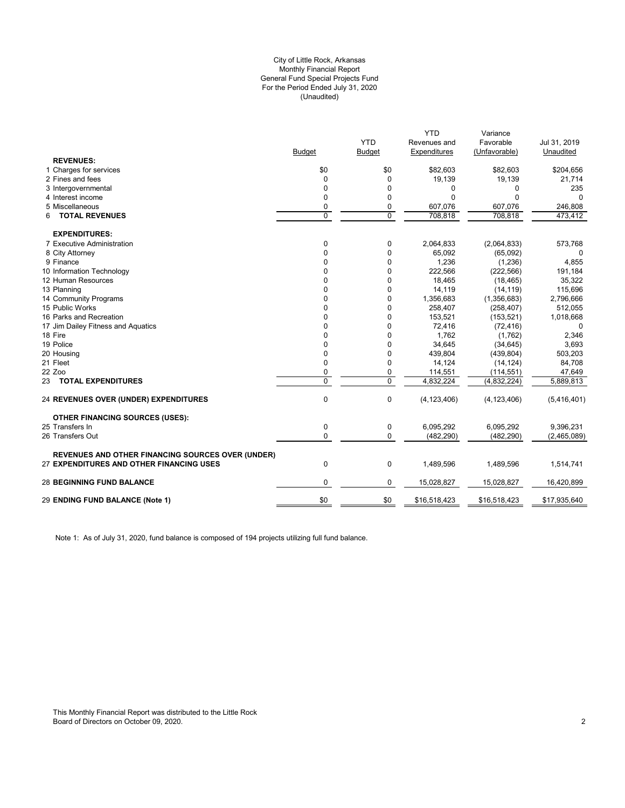## (Unaudited) City of Little Rock, Arkansas Monthly Financial Report General Fund Special Projects Fund For the Period Ended July 31, 2020

|                                                          |               |               | <b>YTD</b>    | Variance      |              |
|----------------------------------------------------------|---------------|---------------|---------------|---------------|--------------|
|                                                          |               | <b>YTD</b>    | Revenues and  | Favorable     | Jul 31, 2019 |
|                                                          | <b>Budget</b> | <b>Budget</b> | Expenditures  | (Unfavorable) | Unaudited    |
| <b>REVENUES:</b>                                         |               |               |               |               |              |
| 1 Charges for services                                   | \$0           | \$0           | \$82,603      | \$82,603      | \$204,656    |
| 2 Fines and fees                                         | $\Omega$      | $\Omega$      | 19,139        | 19,139        | 21,714       |
| 3 Intergovernmental                                      | 0             | 0             | 0             | 0             | 235          |
| 4 Interest income                                        | $\Omega$      | 0             | 0             | $\Omega$      |              |
| 5 Miscellaneous                                          | 0             | 0             | 607,076       | 607,076       | 246,808      |
| <b>TOTAL REVENUES</b><br>6                               | $\Omega$      | $\Omega$      | 708,818       | 708.818       | 473.412      |
| <b>EXPENDITURES:</b>                                     |               |               |               |               |              |
| 7 Executive Administration                               | 0             | 0             | 2,064,833     | (2,064,833)   | 573,768      |
| 8 City Attorney                                          | $\Omega$      | 0             | 65,092        | (65,092)      |              |
| 9 Finance                                                | $\Omega$      | 0             | 1,236         | (1,236)       | 4,855        |
| 10 Information Technology                                | $\Omega$      | 0             | 222,566       | (222, 566)    | 191,184      |
| 12 Human Resources                                       | o             | 0             | 18,465        | (18, 465)     | 35,322       |
| 13 Planning                                              | $\Omega$      | 0             | 14,119        | (14, 119)     | 115,696      |
| 14 Community Programs                                    | $\Omega$      | $\Omega$      | 1,356,683     | (1,356,683)   | 2,796,666    |
| 15 Public Works                                          | <sup>n</sup>  | O             | 258,407       | (258, 407)    | 512,055      |
| 16 Parks and Recreation                                  | 0             | 0             | 153,521       | (153, 521)    | 1,018,668    |
| 17 Jim Dailey Fitness and Aquatics                       |               | 0             | 72,416        | (72, 416)     | $\Omega$     |
| 18 Fire                                                  |               | 0             | 1,762         | (1,762)       | 2,346        |
| 19 Police                                                | $\Omega$      | $\Omega$      | 34,645        | (34, 645)     | 3,693        |
| 20 Housing                                               | <sup>0</sup>  | 0             | 439,804       | (439, 804)    | 503,203      |
| 21 Fleet                                                 | $\Omega$      | 0             | 14,124        | (14, 124)     | 84,708       |
| 22 Zoo                                                   | 0             | 0             | 114,551       | (114, 551)    | 47,649       |
| 23 TOTAL EXPENDITURES                                    | 0             | $\Omega$      | 4.832.224     | (4,832,224)   | 5,889,813    |
| 24 REVENUES OVER (UNDER) EXPENDITURES                    | 0             | 0             | (4, 123, 406) | (4, 123, 406) | (5,416,401)  |
| <b>OTHER FINANCING SOURCES (USES):</b>                   |               |               |               |               |              |
| 25 Transfers In                                          | $\mathbf 0$   | 0             | 6.095.292     | 6,095,292     | 9,396,231    |
| 26 Transfers Out                                         | $\Omega$      | $\Omega$      | (482, 290)    | (482, 290)    | (2,465,089)  |
| <b>REVENUES AND OTHER FINANCING SOURCES OVER (UNDER)</b> |               |               |               |               |              |
| 27 EXPENDITURES AND OTHER FINANCING USES                 | 0             | 0             | 1,489,596     | 1,489,596     | 1,514,741    |
| <b>28 BEGINNING FUND BALANCE</b>                         | 0             | 0             | 15,028,827    | 15,028,827    | 16,420,899   |
| 29 ENDING FUND BALANCE (Note 1)                          | \$0           | \$0           | \$16,518,423  | \$16,518,423  | \$17,935,640 |
|                                                          |               |               |               |               |              |

Note 1: As of July 31, 2020, fund balance is composed of 194 projects utilizing full fund balance.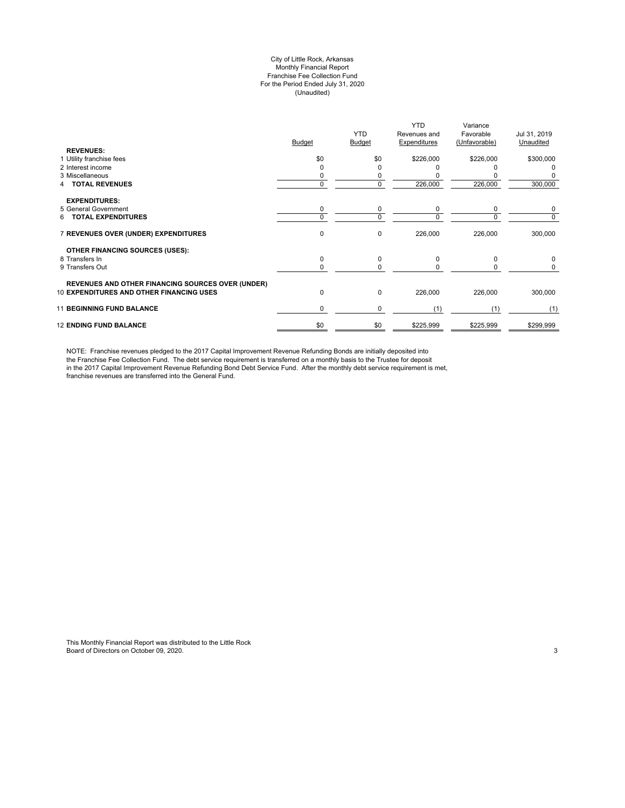#### City of Little Rock, Arkansas Monthly Financial Report Franchise Fee Collection Fund For the Period Ended July 31, 2020 (Unaudited)

| <b>REVENUES:</b>                                         | <b>Budget</b> | <b>YTD</b><br>Budget | <b>YTD</b><br>Revenues and<br>Expenditures | Variance<br>Favorable<br>(Unfavorable) | Jul 31, 2019<br>Unaudited |
|----------------------------------------------------------|---------------|----------------------|--------------------------------------------|----------------------------------------|---------------------------|
| 1 Utility franchise fees                                 | \$0           | \$0                  | \$226,000                                  | \$226,000                              | \$300,000                 |
| 2 Interest income                                        |               | ი                    |                                            |                                        |                           |
| 3 Miscellaneous                                          |               | 0                    |                                            |                                        |                           |
| <b>TOTAL REVENUES</b>                                    | $\Omega$      | 0                    | 226,000                                    | 226,000                                | 300,000                   |
| <b>EXPENDITURES:</b>                                     |               |                      |                                            |                                        |                           |
| 5 General Government                                     | 0             | 0                    | 0                                          | 0                                      | 0                         |
| <b>TOTAL EXPENDITURES</b><br>6.                          | $\Omega$      | 0                    | $\Omega$                                   | $\Omega$                               | 0                         |
| 7 REVENUES OVER (UNDER) EXPENDITURES                     | 0             | 0                    | 226,000                                    | 226,000                                | 300,000                   |
| OTHER FINANCING SOURCES (USES):                          |               |                      |                                            |                                        |                           |
| 8 Transfers In                                           | 0             | 0                    | $\Omega$                                   | $\Omega$                               | 0                         |
| 9 Transfers Out                                          | $\Omega$      | 0                    | 0                                          | <sup>0</sup>                           | 0                         |
| <b>REVENUES AND OTHER FINANCING SOURCES OVER (UNDER)</b> |               |                      |                                            |                                        |                           |
| <b>10 EXPENDITURES AND OTHER FINANCING USES</b>          | 0             | 0                    | 226,000                                    | 226,000                                | 300,000                   |
| <b>11 BEGINNING FUND BALANCE</b>                         | 0             | 0                    | (1)                                        | (1)                                    | (1)                       |
| <b>12 ENDING FUND BALANCE</b>                            | \$0           | \$0                  | \$225,999                                  | \$225,999                              | \$299,999                 |

NOTE: Franchise revenues pledged to the 2017 Capital Improvement Revenue Refunding Bonds are initially deposited into the Franchise Fee Collection Fund. The debt service requirement is transferred on a monthly basis to the Trustee for deposit in the 2017 Capital Improvement Revenue Refunding Bond Debt Service Fund. After the monthly debt service requirement is met, franchise revenues are transferred into the General Fund.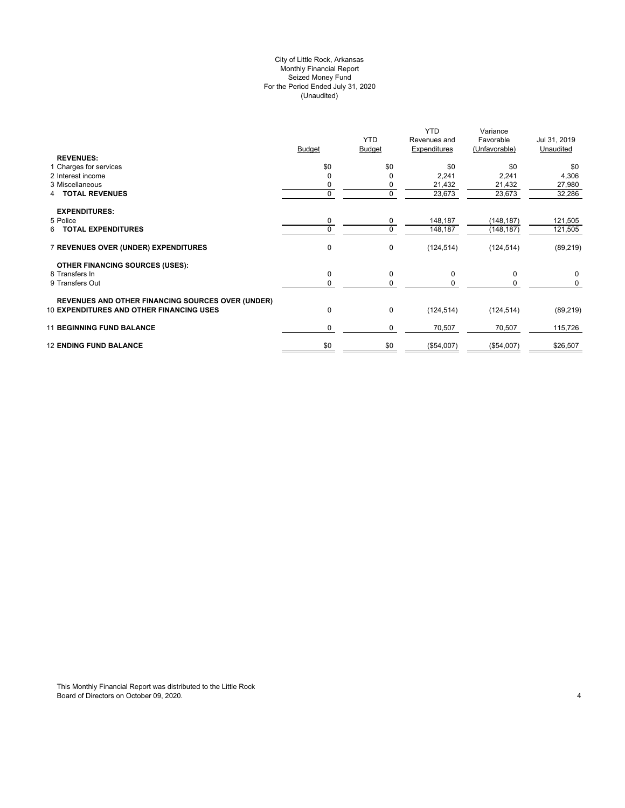## City of Little Rock, Arkansas (Unaudited) For the Period Ended July 31, 2020 Seized Money Fund Monthly Financial Report

| <b>REVENUES:</b>                                         | <b>Budget</b> | <b>YTD</b><br><b>Budget</b> | <b>YTD</b><br>Revenues and<br>Expenditures | Variance<br>Favorable<br>(Unfavorable) | Jul 31, 2019<br>Unaudited |
|----------------------------------------------------------|---------------|-----------------------------|--------------------------------------------|----------------------------------------|---------------------------|
| 1 Charges for services                                   | \$0           | \$0                         | \$0                                        | \$0                                    | \$0                       |
| 2 Interest income                                        |               | 0                           | 2,241                                      | 2,241                                  | 4,306                     |
| 3 Miscellaneous                                          |               | 0                           | 21,432                                     | 21,432                                 | 27,980                    |
| <b>4 TOTAL REVENUES</b>                                  | 0             | 0                           | 23,673                                     | 23,673                                 | 32,286                    |
| <b>EXPENDITURES:</b>                                     |               |                             |                                            |                                        |                           |
| 5 Police                                                 | 0             | 0                           | 148,187                                    | (148, 187)                             | 121,505                   |
| 6 TOTAL EXPENDITURES                                     | 0             | 0                           | 148,187                                    | (148, 187)                             | 121,505                   |
| 7 REVENUES OVER (UNDER) EXPENDITURES                     | $\mathbf 0$   | 0                           | (124, 514)                                 | (124, 514)                             | (89, 219)                 |
| <b>OTHER FINANCING SOURCES (USES):</b>                   |               |                             |                                            |                                        |                           |
| 8 Transfers In                                           | $\mathbf 0$   | 0                           | 0                                          | 0                                      | 0                         |
| 9 Transfers Out                                          | 0             | 0                           | 0                                          |                                        | 0                         |
| <b>REVENUES AND OTHER FINANCING SOURCES OVER (UNDER)</b> |               |                             |                                            |                                        |                           |
| <b>10 EXPENDITURES AND OTHER FINANCING USES</b>          | $\mathbf 0$   | 0                           | (124, 514)                                 | (124, 514)                             | (89, 219)                 |
| <b>11 BEGINNING FUND BALANCE</b>                         | $\Omega$      | 0                           | 70,507                                     | 70,507                                 | 115,726                   |
| <b>12 ENDING FUND BALANCE</b>                            | \$0           | \$0                         | (\$54,007)                                 | (\$54,007)                             | \$26,507                  |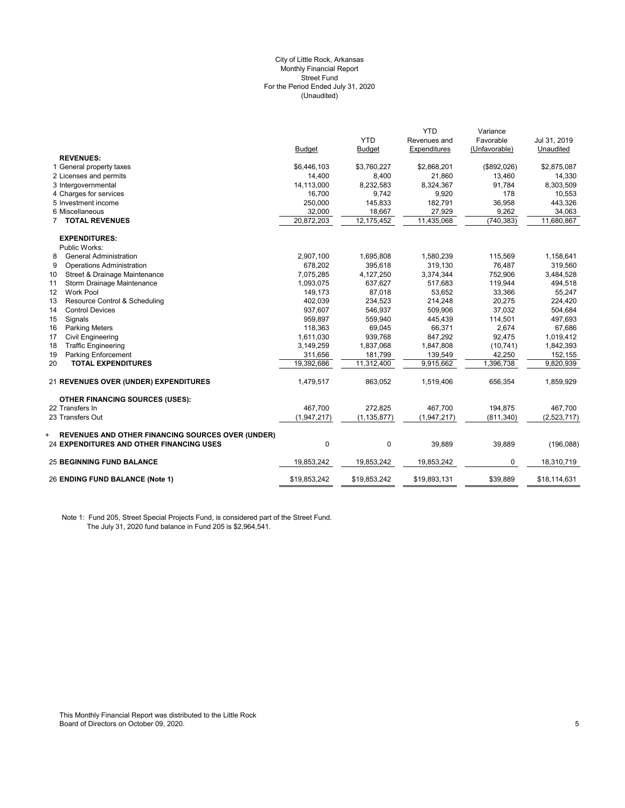#### (Unaudited) City of Little Rock, Arkansas Monthly Financial Report Street Fund For the Period Ended July 31, 2020

|                                                                                                                  |               |               | <b>YTD</b>   | Variance      |              |
|------------------------------------------------------------------------------------------------------------------|---------------|---------------|--------------|---------------|--------------|
|                                                                                                                  |               | <b>YTD</b>    | Revenues and | Favorable     | Jul 31, 2019 |
|                                                                                                                  | <b>Budget</b> | <b>Budget</b> | Expenditures | (Unfavorable) | Unaudited    |
| <b>REVENUES:</b>                                                                                                 |               |               |              |               |              |
| 1 General property taxes                                                                                         | \$6,446,103   | \$3,760,227   | \$2,868,201  | (\$892,026)   | \$2,875,087  |
| 2 Licenses and permits                                                                                           | 14,400        | 8,400         | 21,860       | 13,460        | 14,330       |
| 3 Intergovernmental                                                                                              | 14,113,000    | 8,232,583     | 8,324,367    | 91,784        | 8,303,509    |
| 4 Charges for services                                                                                           | 16,700        | 9,742         | 9,920        | 178           | 10,553       |
| 5 Investment income                                                                                              | 250,000       | 145,833       | 182,791      | 36,958        | 443,326      |
| 6 Miscellaneous                                                                                                  | 32,000        | 18,667        | 27,929       | 9,262         | 34,063       |
| <b>TOTAL REVENUES</b>                                                                                            | 20,872,203    | 12,175,452    | 11,435,068   | (740, 383)    | 11,680,867   |
| <b>EXPENDITURES:</b>                                                                                             |               |               |              |               |              |
| Public Works:                                                                                                    |               |               |              |               |              |
| <b>General Administration</b><br>8                                                                               | 2,907,100     | 1,695,808     | 1,580,239    | 115,569       | 1,158,641    |
| 9<br><b>Operations Administration</b>                                                                            | 678,202       | 395,618       | 319,130      | 76,487        | 319,560      |
| Street & Drainage Maintenance<br>10                                                                              | 7,075,285     | 4,127,250     | 3,374,344    | 752,906       | 3,484,528    |
| Storm Drainage Maintenance<br>11                                                                                 | 1,093,075     | 637,627       | 517,683      | 119,944       | 494,518      |
| <b>Work Pool</b><br>12 <sup>2</sup>                                                                              | 149,173       | 87,018        | 53,652       | 33,366        | 55,247       |
| Resource Control & Scheduling<br>13                                                                              | 402,039       | 234,523       | 214,248      | 20,275        | 224,420      |
| 14<br><b>Control Devices</b>                                                                                     | 937,607       | 546,937       | 509,906      | 37,032        | 504,684      |
| Signals<br>15                                                                                                    | 959,897       | 559,940       | 445,439      | 114,501       | 497,693      |
| 16<br><b>Parking Meters</b>                                                                                      | 118,363       | 69,045        | 66,371       | 2,674         | 67,686       |
| 17<br><b>Civil Engineering</b>                                                                                   | 1,611,030     | 939,768       | 847,292      | 92,475        | 1,019,412    |
| 18<br><b>Traffic Engineering</b>                                                                                 | 3,149,259     | 1,837,068     | 1,847,808    | (10, 741)     | 1,842,393    |
| 19<br>Parking Enforcement                                                                                        | 311,656       | 181,799       | 139,549      | 42,250        | 152,155      |
| 20<br><b>TOTAL EXPENDITURES</b>                                                                                  | 19,392,686    | 11,312,400    | 9,915,662    | 1,396,738     | 9,820,939    |
| 21 REVENUES OVER (UNDER) EXPENDITURES                                                                            | 1,479,517     | 863,052       | 1,519,406    | 656,354       | 1,859,929    |
| <b>OTHER FINANCING SOURCES (USES):</b>                                                                           |               |               |              |               |              |
| 22 Transfers In                                                                                                  | 467.700       | 272.825       | 467.700      | 194.875       | 467.700      |
| 23 Transfers Out                                                                                                 | (1,947,217)   | (1, 135, 877) | (1,947,217)  | (811, 340)    | (2,523,717)  |
|                                                                                                                  |               |               |              |               |              |
| <b>REVENUES AND OTHER FINANCING SOURCES OVER (UNDER)</b><br>+<br><b>24 EXPENDITURES AND OTHER FINANCING USES</b> | $\mathbf 0$   | $\mathbf 0$   | 39,889       | 39,889        | (196,088)    |
|                                                                                                                  |               |               |              |               |              |
| <b>25 BEGINNING FUND BALANCE</b>                                                                                 | 19,853,242    | 19,853,242    | 19,853,242   | 0             | 18,310,719   |
| 26 ENDING FUND BALANCE (Note 1)                                                                                  | \$19,853,242  | \$19,853,242  | \$19,893,131 | \$39,889      | \$18,114,631 |

Note 1: Fund 205, Street Special Projects Fund, is considered part of the Street Fund. The July 31, 2020 fund balance in Fund 205 is \$2,964,541.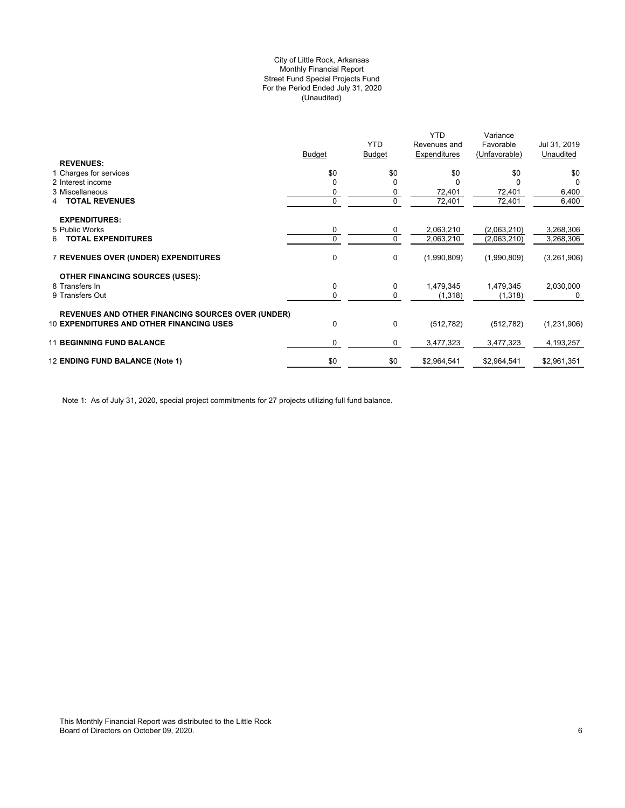## (Unaudited) City of Little Rock, Arkansas Monthly Financial Report Street Fund Special Projects Fund For the Period Ended July 31, 2020

| \$0<br>\$0<br>\$0<br>\$0<br>1 Charges for services<br>\$0<br>2 Interest income<br>$\Omega$<br><sup>0</sup><br>U<br>n<br>3 Miscellaneous<br>6,400<br>72,401<br>72,401<br>0<br>0<br>$\overline{0}$<br>72,401<br>$\Omega$<br>$\overline{72,}401$<br>6,400<br><b>TOTAL REVENUES</b><br>4<br><b>EXPENDITURES:</b><br>5 Public Works<br>2,063,210<br>(2,063,210)<br>3,268,306<br>0<br>0<br>$\Omega$<br>$\mathbf 0$<br><b>TOTAL EXPENDITURES</b><br>2,063,210<br>3,268,306<br>(2,063,210)<br>6<br>0<br><b>7 REVENUES OVER (UNDER) EXPENDITURES</b><br>0<br>(3,261,906)<br>(1,990,809)<br>(1,990,809)<br><b>OTHER FINANCING SOURCES (USES):</b><br>0<br>8 Transfers In<br>0<br>1,479,345<br>1,479,345<br>2,030,000<br>9 Transfers Out<br>0<br>0<br>(1, 318)<br>(1,318)<br>0<br><b>REVENUES AND OTHER FINANCING SOURCES OVER (UNDER)</b><br><b>10 EXPENDITURES AND OTHER FINANCING USES</b><br>0<br>$\Omega$<br>(1,231,906)<br>(512, 782)<br>(512, 782)<br><b>11 BEGINNING FUND BALANCE</b><br>3,477,323<br>0<br>0<br>3,477,323<br>4,193,257<br>\$0<br>12 ENDING FUND BALANCE (Note 1)<br>\$0<br>\$2,964,541<br>\$2,964,541<br>\$2,961,351 |                  | <b>Budget</b> | <b>YTD</b><br><b>Budget</b> | <b>YTD</b><br>Revenues and<br>Expenditures | Variance<br>Favorable<br>(Unfavorable) | Jul 31, 2019<br>Unaudited |
|-----------------------------------------------------------------------------------------------------------------------------------------------------------------------------------------------------------------------------------------------------------------------------------------------------------------------------------------------------------------------------------------------------------------------------------------------------------------------------------------------------------------------------------------------------------------------------------------------------------------------------------------------------------------------------------------------------------------------------------------------------------------------------------------------------------------------------------------------------------------------------------------------------------------------------------------------------------------------------------------------------------------------------------------------------------------------------------------------------------------------------------|------------------|---------------|-----------------------------|--------------------------------------------|----------------------------------------|---------------------------|
|                                                                                                                                                                                                                                                                                                                                                                                                                                                                                                                                                                                                                                                                                                                                                                                                                                                                                                                                                                                                                                                                                                                                   | <b>REVENUES:</b> |               |                             |                                            |                                        |                           |
|                                                                                                                                                                                                                                                                                                                                                                                                                                                                                                                                                                                                                                                                                                                                                                                                                                                                                                                                                                                                                                                                                                                                   |                  |               |                             |                                            |                                        |                           |
|                                                                                                                                                                                                                                                                                                                                                                                                                                                                                                                                                                                                                                                                                                                                                                                                                                                                                                                                                                                                                                                                                                                                   |                  |               |                             |                                            |                                        |                           |
|                                                                                                                                                                                                                                                                                                                                                                                                                                                                                                                                                                                                                                                                                                                                                                                                                                                                                                                                                                                                                                                                                                                                   |                  |               |                             |                                            |                                        |                           |
|                                                                                                                                                                                                                                                                                                                                                                                                                                                                                                                                                                                                                                                                                                                                                                                                                                                                                                                                                                                                                                                                                                                                   |                  |               |                             |                                            |                                        |                           |
|                                                                                                                                                                                                                                                                                                                                                                                                                                                                                                                                                                                                                                                                                                                                                                                                                                                                                                                                                                                                                                                                                                                                   |                  |               |                             |                                            |                                        |                           |
|                                                                                                                                                                                                                                                                                                                                                                                                                                                                                                                                                                                                                                                                                                                                                                                                                                                                                                                                                                                                                                                                                                                                   |                  |               |                             |                                            |                                        |                           |
|                                                                                                                                                                                                                                                                                                                                                                                                                                                                                                                                                                                                                                                                                                                                                                                                                                                                                                                                                                                                                                                                                                                                   |                  |               |                             |                                            |                                        |                           |
|                                                                                                                                                                                                                                                                                                                                                                                                                                                                                                                                                                                                                                                                                                                                                                                                                                                                                                                                                                                                                                                                                                                                   |                  |               |                             |                                            |                                        |                           |
|                                                                                                                                                                                                                                                                                                                                                                                                                                                                                                                                                                                                                                                                                                                                                                                                                                                                                                                                                                                                                                                                                                                                   |                  |               |                             |                                            |                                        |                           |
|                                                                                                                                                                                                                                                                                                                                                                                                                                                                                                                                                                                                                                                                                                                                                                                                                                                                                                                                                                                                                                                                                                                                   |                  |               |                             |                                            |                                        |                           |
|                                                                                                                                                                                                                                                                                                                                                                                                                                                                                                                                                                                                                                                                                                                                                                                                                                                                                                                                                                                                                                                                                                                                   |                  |               |                             |                                            |                                        |                           |
|                                                                                                                                                                                                                                                                                                                                                                                                                                                                                                                                                                                                                                                                                                                                                                                                                                                                                                                                                                                                                                                                                                                                   |                  |               |                             |                                            |                                        |                           |
|                                                                                                                                                                                                                                                                                                                                                                                                                                                                                                                                                                                                                                                                                                                                                                                                                                                                                                                                                                                                                                                                                                                                   |                  |               |                             |                                            |                                        |                           |
|                                                                                                                                                                                                                                                                                                                                                                                                                                                                                                                                                                                                                                                                                                                                                                                                                                                                                                                                                                                                                                                                                                                                   |                  |               |                             |                                            |                                        |                           |
|                                                                                                                                                                                                                                                                                                                                                                                                                                                                                                                                                                                                                                                                                                                                                                                                                                                                                                                                                                                                                                                                                                                                   |                  |               |                             |                                            |                                        |                           |
|                                                                                                                                                                                                                                                                                                                                                                                                                                                                                                                                                                                                                                                                                                                                                                                                                                                                                                                                                                                                                                                                                                                                   |                  |               |                             |                                            |                                        |                           |
|                                                                                                                                                                                                                                                                                                                                                                                                                                                                                                                                                                                                                                                                                                                                                                                                                                                                                                                                                                                                                                                                                                                                   |                  |               |                             |                                            |                                        |                           |
|                                                                                                                                                                                                                                                                                                                                                                                                                                                                                                                                                                                                                                                                                                                                                                                                                                                                                                                                                                                                                                                                                                                                   |                  |               |                             |                                            |                                        |                           |
|                                                                                                                                                                                                                                                                                                                                                                                                                                                                                                                                                                                                                                                                                                                                                                                                                                                                                                                                                                                                                                                                                                                                   |                  |               |                             |                                            |                                        |                           |
|                                                                                                                                                                                                                                                                                                                                                                                                                                                                                                                                                                                                                                                                                                                                                                                                                                                                                                                                                                                                                                                                                                                                   |                  |               |                             |                                            |                                        |                           |

Note 1: As of July 31, 2020, special project commitments for 27 projects utilizing full fund balance.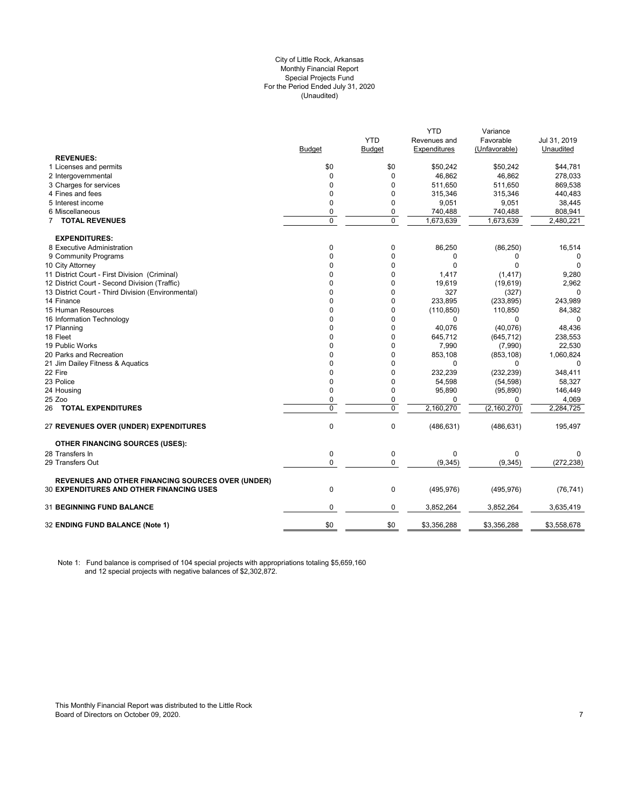#### City of Little Rock, Arkansas (Unaudited) For the Period Ended July 31, 2020 Special Projects Fund Monthly Financial Report

|                                                          |               |            | <b>YTD</b>   | Variance      |              |
|----------------------------------------------------------|---------------|------------|--------------|---------------|--------------|
|                                                          |               | <b>YTD</b> | Revenues and | Favorable     | Jul 31, 2019 |
|                                                          | <b>Budget</b> | Budget     | Expenditures | (Unfavorable) | Unaudited    |
| <b>REVENUES:</b>                                         |               |            |              |               |              |
| 1 Licenses and permits                                   | \$0           | \$0        | \$50,242     | \$50,242      | \$44.781     |
| 2 Intergovernmental                                      | $\mathbf 0$   | 0          | 46,862       | 46,862        | 278,033      |
| 3 Charges for services                                   | $\Omega$      | $\Omega$   | 511,650      | 511,650       | 869,538      |
| 4 Fines and fees                                         | $\mathbf 0$   | 0          | 315,346      | 315,346       | 440,483      |
| 5 Interest income                                        | $\mathbf 0$   | 0          | 9,051        | 9,051         | 38,445       |
| 6 Miscellaneous                                          | $\mathbf 0$   | 0          | 740,488      | 740,488       | 808,941      |
| 7 TOTAL REVENUES                                         | $\mathbf 0$   | 0          | 1,673,639    | 1,673,639     | 2,480,221    |
| <b>EXPENDITURES:</b>                                     |               |            |              |               |              |
| 8 Executive Administration                               | $\pmb{0}$     | 0          | 86,250       | (86, 250)     | 16,514       |
| 9 Community Programs                                     | $\mathbf 0$   | 0          | 0            | 0             | 0            |
| 10 City Attorney                                         | $\Omega$      | 0          | $\Omega$     | $\Omega$      | $\Omega$     |
| 11 District Court - First Division (Criminal)            | 0             | 0          | 1,417        | (1, 417)      | 9,280        |
| 12 District Court - Second Division (Traffic)            | 0             | 0          | 19,619       | (19,619)      | 2,962        |
| 13 District Court - Third Division (Environmental)       | $\Omega$      | 0          | 327          | (327)         | $\Omega$     |
| 14 Finance                                               | $\Omega$      | 0          | 233,895      | (233, 895)    | 243,989      |
| 15 Human Resources                                       | 0             | 0          | (110, 850)   | 110,850       | 84,382       |
| 16 Information Technology                                | $\Omega$      | 0          | 0            | 0             |              |
| 17 Planning                                              | $\mathbf 0$   | 0          | 40,076       | (40,076)      | 48,436       |
| 18 Fleet                                                 | 0             | 0          | 645,712      | (645, 712)    | 238,553      |
| 19 Public Works                                          | $\Omega$      | $\Omega$   | 7,990        | (7,990)       | 22,530       |
| 20 Parks and Recreation                                  | 0             | 0          | 853,108      | (853, 108)    | 1,060,824    |
| 21 Jim Dailey Fitness & Aquatics                         | $\Omega$      | 0          | 0            | 0             | 0            |
| 22 Fire                                                  | $\Omega$      | $\Omega$   | 232,239      | (232, 239)    | 348,411      |
| 23 Police                                                | $\mathbf 0$   | 0          | 54,598       | (54, 598)     | 58,327       |
| 24 Housing                                               | $\mathbf 0$   | 0          | 95,890       | (95, 890)     | 146,449      |
| 25 Zoo                                                   | $\mathbf 0$   | 0          | $\Omega$     | $\Omega$      | 4,069        |
| 26 TOTAL EXPENDITURES                                    | 0             | 0          | 2,160,270    | (2, 160, 270) | 2,284,725    |
| <b>27 REVENUES OVER (UNDER) EXPENDITURES</b>             | $\mathbf 0$   | 0          | (486, 631)   | (486, 631)    | 195,497      |
| <b>OTHER FINANCING SOURCES (USES):</b>                   |               |            |              |               |              |
| 28 Transfers In                                          | $\mathbf 0$   | 0          | 0            | $\Omega$      | $\Omega$     |
| 29 Transfers Out                                         | 0             | 0          | (9, 345)     | (9, 345)      | (272, 238)   |
| <b>REVENUES AND OTHER FINANCING SOURCES OVER (UNDER)</b> |               |            |              |               |              |
| <b>30 EXPENDITURES AND OTHER FINANCING USES</b>          | $\mathbf 0$   | 0          | (495, 976)   | (495, 976)    | (76, 741)    |
| <b>31 BEGINNING FUND BALANCE</b>                         | $\mathbf 0$   | 0          | 3,852,264    | 3,852,264     | 3,635,419    |
| 32 ENDING FUND BALANCE (Note 1)                          | \$0           | \$0        | \$3,356,288  | \$3,356,288   | \$3,558,678  |
|                                                          |               |            |              |               |              |

Note 1: Fund balance is comprised of 104 special projects with appropriations totaling \$5,659,160 and 12 special projects with negative balances of \$2,302,872.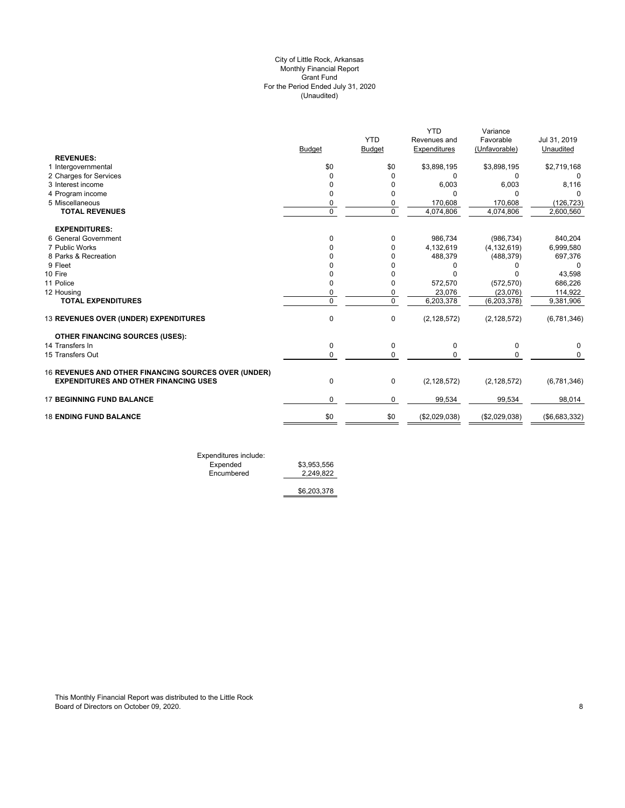## (Unaudited) City of Little Rock, Arkansas Monthly Financial Report Grant Fund For the Period Ended July 31, 2020

|                                                      |                |                | <b>YTD</b>    | Variance      |               |
|------------------------------------------------------|----------------|----------------|---------------|---------------|---------------|
|                                                      |                | <b>YTD</b>     | Revenues and  | Favorable     | Jul 31, 2019  |
|                                                      | <b>Budget</b>  | <b>Budget</b>  | Expenditures  | (Unfavorable) | Unaudited     |
| <b>REVENUES:</b>                                     |                |                |               |               |               |
| 1 Intergovernmental                                  | \$0            | \$0            | \$3,898,195   | \$3,898,195   | \$2,719,168   |
| 2 Charges for Services                               | 0              | 0              | 0             | 0             | 0             |
| 3 Interest income                                    | 0              | $\Omega$       | 6,003         | 6,003         | 8,116         |
| 4 Program income                                     | $\Omega$       | 0              | n             | $\Omega$      |               |
| 5 Miscellaneous                                      | 0              | 0              | 170,608       | 170,608       | (126, 723)    |
| <b>TOTAL REVENUES</b>                                | $\overline{0}$ | $\overline{0}$ | 4,074,806     | 4,074,806     | 2,600,560     |
| <b>EXPENDITURES:</b>                                 |                |                |               |               |               |
| 6 General Government                                 | $\Omega$       | 0              | 986,734       | (986, 734)    | 840,204       |
| 7 Public Works                                       | 0              | 0              | 4,132,619     | (4, 132, 619) | 6,999,580     |
| 8 Parks & Recreation                                 |                | 0              | 488,379       | (488, 379)    | 697,376       |
| 9 Fleet                                              |                | 0              |               |               | 0             |
| 10 Fire                                              |                | 0              |               |               | 43,598        |
| 11 Police                                            | 0              | 0              | 572,570       | (572, 570)    | 686,226       |
| 12 Housing                                           | 0              | 0              | 23,076        | (23,076)      | 114,922       |
| <b>TOTAL EXPENDITURES</b>                            | $\Omega$       | $\overline{0}$ | 6,203,378     | (6, 203, 378) | 9,381,906     |
| 13 REVENUES OVER (UNDER) EXPENDITURES                | $\mathbf 0$    | 0              | (2, 128, 572) | (2, 128, 572) | (6,781,346)   |
| <b>OTHER FINANCING SOURCES (USES):</b>               |                |                |               |               |               |
| 14 Transfers In                                      | 0              | 0              | $\Omega$      | 0             | 0             |
| 15 Transfers Out                                     | $\Omega$       | 0              | U             | $\Omega$      | $\Omega$      |
| 16 REVENUES AND OTHER FINANCING SOURCES OVER (UNDER) |                |                |               |               |               |
| <b>EXPENDITURES AND OTHER FINANCING USES</b>         | $\mathbf 0$    | 0              | (2, 128, 572) | (2, 128, 572) | (6,781,346)   |
| <b>17 BEGINNING FUND BALANCE</b>                     | $\mathbf 0$    | $\mathbf 0$    | 99,534        | 99,534        | 98,014        |
| <b>18 ENDING FUND BALANCE</b>                        | \$0            | \$0            | (\$2,029,038) | (\$2,029,038) | (\$6,683,332) |
|                                                      |                |                |               |               |               |

Expenditures include: Expended \$3,953,556 Encumbered 2,249,822

\$6,203,378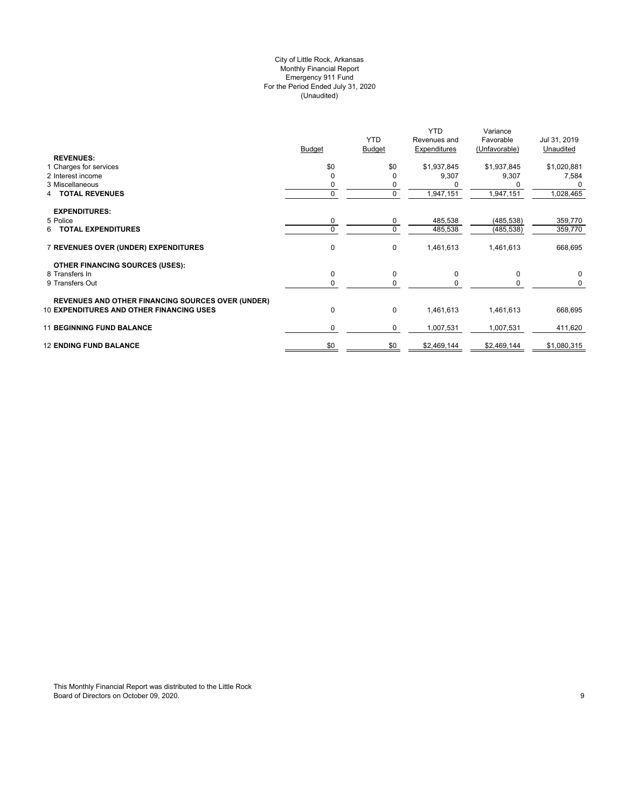## (Unaudited) City of Little Rock, Arkansas Monthly Financial Report Emergency 911 Fund For the Period Ended July 31, 2020

|                                                          |               |               | YTD          | Variance      |              |
|----------------------------------------------------------|---------------|---------------|--------------|---------------|--------------|
|                                                          |               | <b>YTD</b>    | Revenues and | Favorable     | Jul 31, 2019 |
|                                                          | <b>Budget</b> | <b>Budget</b> | Expenditures | (Unfavorable) | Unaudited    |
| <b>REVENUES:</b>                                         |               |               |              |               |              |
| 1 Charges for services                                   | \$0           | \$0           | \$1,937,845  | \$1,937,845   | \$1,020,881  |
| 2 Interest income                                        | $\Omega$      |               | 9,307        | 9,307         | 7,584        |
| 3 Miscellaneous                                          |               | 0             |              |               | $\Omega$     |
| <b>TOTAL REVENUES</b>                                    | 0             | 0             | 1,947,151    | 1,947,151     | 1,028,465    |
|                                                          |               |               |              |               |              |
| <b>EXPENDITURES:</b>                                     |               |               |              |               |              |
| 5 Police                                                 | 0             | 0             | 485,538      | (485, 538)    | 359,770      |
| <b>TOTAL EXPENDITURES</b><br>6                           | 0             | $\mathbf 0$   | 485,538      | (485, 538)    | 359,770      |
|                                                          |               |               |              |               |              |
| 7 REVENUES OVER (UNDER) EXPENDITURES                     | 0             | 0             | 1,461,613    | 1,461,613     | 668,695      |
|                                                          |               |               |              |               |              |
| <b>OTHER FINANCING SOURCES (USES):</b>                   |               |               |              |               |              |
| 8 Transfers In                                           | 0             | 0             | 0            | 0             | 0            |
| 9 Transfers Out                                          | 0             | $\mathbf 0$   |              |               | 0            |
|                                                          |               |               |              |               |              |
| <b>REVENUES AND OTHER FINANCING SOURCES OVER (UNDER)</b> |               |               |              |               |              |
| <b>10 EXPENDITURES AND OTHER FINANCING USES</b>          | 0             | 0             | 1,461,613    | 1,461,613     | 668,695      |
|                                                          |               |               |              |               |              |
| <b>11 BEGINNING FUND BALANCE</b>                         | 0             | 0             | 1,007,531    | 1,007,531     | 411,620      |
|                                                          |               |               |              |               |              |
| <b>12 ENDING FUND BALANCE</b>                            | \$0           | \$0           | \$2,469,144  | \$2,469,144   | \$1,080,315  |
|                                                          |               |               |              |               |              |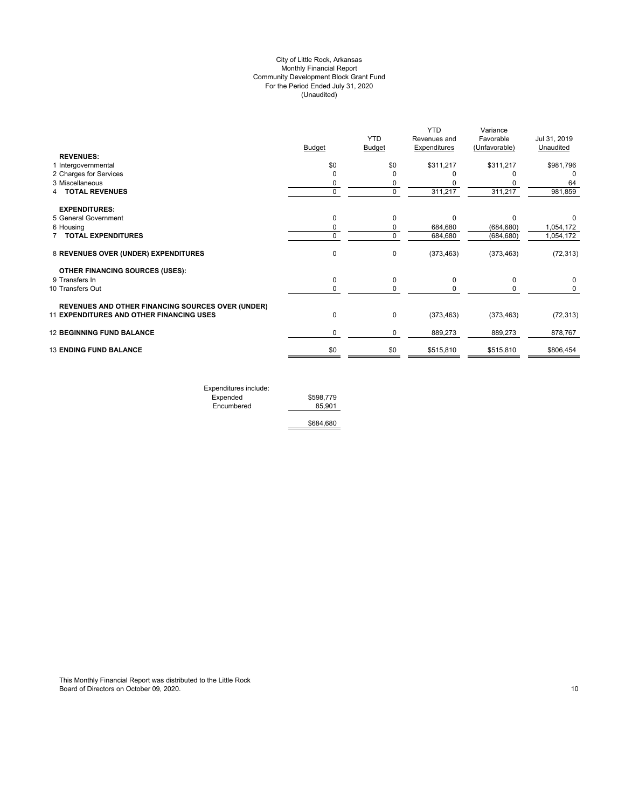## (Unaudited) City of Little Rock, Arkansas Monthly Financial Report Community Development Block Grant Fund For the Period Ended July 31, 2020

|                                                   |               |               | <b>YTD</b>   | Variance      |              |
|---------------------------------------------------|---------------|---------------|--------------|---------------|--------------|
|                                                   |               | <b>YTD</b>    | Revenues and | Favorable     | Jul 31, 2019 |
|                                                   | <b>Budget</b> | <b>Budget</b> | Expenditures | (Unfavorable) | Unaudited    |
| <b>REVENUES:</b>                                  |               |               |              |               |              |
| 1 Intergovernmental                               | \$0           | \$0           | \$311,217    | \$311,217     | \$981,796    |
| 2 Charges for Services                            | $\Omega$      | O             |              |               | O            |
| 3 Miscellaneous                                   | 0             | 0             |              |               | 64           |
| <b>TOTAL REVENUES</b>                             | $\mathbf 0$   | $\mathbf 0$   | 311,217      | 311,217       | 981,859      |
| <b>EXPENDITURES:</b>                              |               |               |              |               |              |
| 5 General Government                              | 0             | $\Omega$      | $\Omega$     | C             |              |
| 6 Housing                                         | 0             | 0             | 684,680      | (684, 680)    | 1,054,172    |
| 7 TOTAL EXPENDITURES                              | $\mathbf 0$   | 0             | 684,680      | (684, 680)    | 1,054,172    |
| 8 REVENUES OVER (UNDER) EXPENDITURES              | 0             | 0             | (373, 463)   | (373, 463)    | (72, 313)    |
| <b>OTHER FINANCING SOURCES (USES):</b>            |               |               |              |               |              |
| 9 Transfers In                                    | 0             | 0             | 0            | 0             | 0            |
| 10 Transfers Out                                  | 0             | 0             |              | 0             | 0            |
| REVENUES AND OTHER FINANCING SOURCES OVER (UNDER) |               |               |              |               |              |
| 11 EXPENDITURES AND OTHER FINANCING USES          | $\pmb{0}$     | 0             | (373, 463)   | (373, 463)    | (72, 313)    |
| <b>12 BEGINNING FUND BALANCE</b>                  | 0             | 0             | 889,273      | 889,273       | 878,767      |
| <b>13 ENDING FUND BALANCE</b>                     | \$0           | \$0           | \$515,810    | \$515,810     | \$806,454    |
|                                                   |               |               |              |               |              |

Expenditures include: Expended  $$598,779$  Encumbered 85,901 \$684,680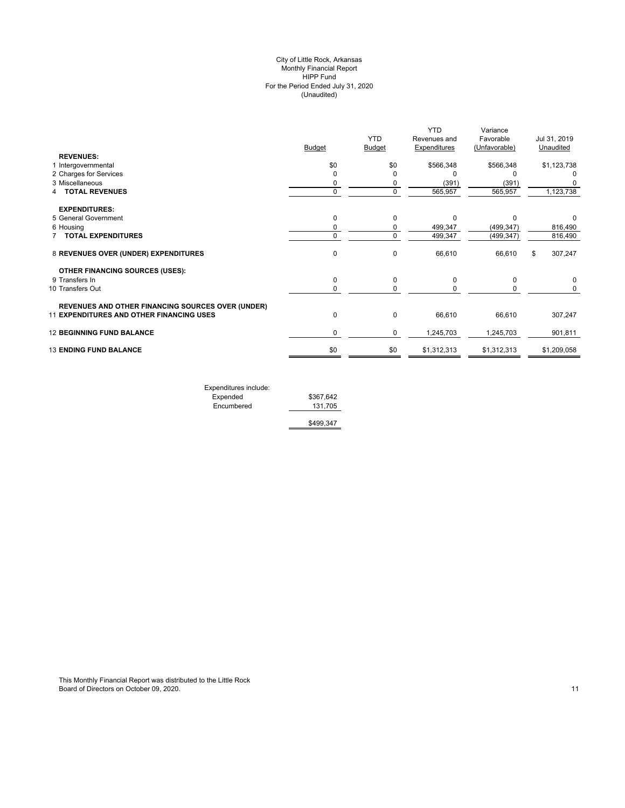## (Unaudited) City of Little Rock, Arkansas Monthly Financial Report HIPP Fund For the Period Ended July 31, 2020

|                                                          |               |             | <b>YTD</b>   | Variance      |               |
|----------------------------------------------------------|---------------|-------------|--------------|---------------|---------------|
|                                                          |               | <b>YTD</b>  | Revenues and | Favorable     | Jul 31, 2019  |
|                                                          | <b>Budget</b> | Budget      | Expenditures | (Unfavorable) | Unaudited     |
| <b>REVENUES:</b>                                         |               |             |              |               |               |
| 1 Intergovernmental                                      | \$0           | \$0         | \$566,348    | \$566,348     | \$1,123,738   |
| 2 Charges for Services                                   | $\Omega$      | $\Omega$    | O            |               | 0             |
| 3 Miscellaneous                                          | 0             | 0           | (391)        | (391)         |               |
| <b>TOTAL REVENUES</b>                                    | $\mathbf 0$   | $\mathbf 0$ | 565,957      | 565,957       | 1,123,738     |
| <b>EXPENDITURES:</b>                                     |               |             |              |               |               |
| 5 General Government                                     | $\mathbf 0$   | $\mathbf 0$ | $\Omega$     | $\Omega$      | 0             |
| 6 Housing                                                | 0             | 0           | 499,347      | (499, 347)    | 816,490       |
| <b>7 TOTAL EXPENDITURES</b>                              | 0             | 0           | 499,347      | (499, 347)    | 816,490       |
| 8 REVENUES OVER (UNDER) EXPENDITURES                     | $\mathbf 0$   | 0           | 66,610       | 66,610        | \$<br>307,247 |
| <b>OTHER FINANCING SOURCES (USES):</b>                   |               |             |              |               |               |
| 9 Transfers In                                           | $\mathbf 0$   | 0           | 0            | 0             | 0             |
| 10 Transfers Out                                         | 0             | 0           | $\Omega$     | 0             | 0             |
| <b>REVENUES AND OTHER FINANCING SOURCES OVER (UNDER)</b> |               |             |              |               |               |
| 11 EXPENDITURES AND OTHER FINANCING USES                 | $\pmb{0}$     | 0           | 66,610       | 66,610        | 307,247       |
| <b>12 BEGINNING FUND BALANCE</b>                         | 0             | 0           | 1,245,703    | 1,245,703     | 901,811       |
| <b>13 ENDING FUND BALANCE</b>                            | \$0           | \$0         | \$1,312,313  | \$1,312,313   | \$1,209,058   |
|                                                          |               |             |              |               |               |

| Expenditures include: |           |
|-----------------------|-----------|
| Expended              | \$367.642 |
| Encumbered            | 131.705   |
|                       |           |

\$499,347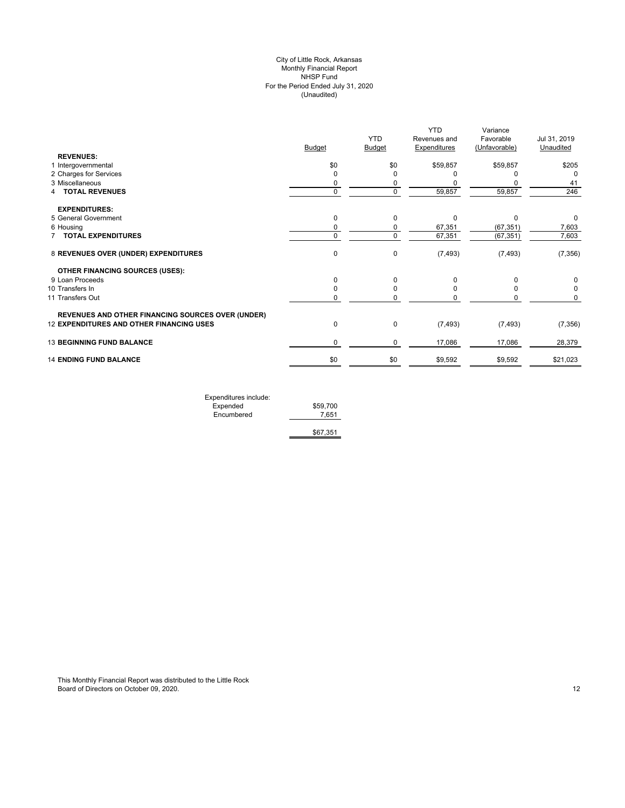## (Unaudited) City of Little Rock, Arkansas Monthly Financial Report NHSP Fund For the Period Ended July 31, 2020

|                                                          |               | <b>YTD</b>    | <b>YTD</b><br>Revenues and | Variance<br>Favorable | Jul 31, 2019 |
|----------------------------------------------------------|---------------|---------------|----------------------------|-----------------------|--------------|
|                                                          | <b>Budget</b> | <b>Budget</b> | <b>Expenditures</b>        | (Unfavorable)         | Unaudited    |
| <b>REVENUES:</b>                                         |               |               |                            |                       |              |
| 1 Intergovernmental                                      | \$0           | \$0           | \$59,857                   | \$59,857              | \$205        |
| 2 Charges for Services                                   | 0             | O             |                            |                       | $\Omega$     |
| 3 Miscellaneous                                          | 0             | 0             |                            |                       | 41           |
| <b>TOTAL REVENUES</b><br>4                               | $\mathbf 0$   | $\mathbf 0$   | 59,857                     | 59,857                | 246          |
| <b>EXPENDITURES:</b>                                     |               |               |                            |                       |              |
| 5 General Government                                     | 0             | 0             | O                          | O                     | 0            |
| 6 Housing                                                | 0             | 0             | 67,351                     | (67, 351)             | 7,603        |
| <b>TOTAL EXPENDITURES</b>                                | 0             | $\mathbf 0$   | 67,351                     | (67, 351)             | 7,603        |
| 8 REVENUES OVER (UNDER) EXPENDITURES                     | $\pmb{0}$     | $\mathbf 0$   | (7, 493)                   | (7, 493)              | (7, 356)     |
| <b>OTHER FINANCING SOURCES (USES):</b>                   |               |               |                            |                       |              |
| 9 Loan Proceeds                                          | 0             | $\Omega$      | O                          |                       | 0            |
| 10 Transfers In                                          | 0             | 0             |                            |                       | 0            |
| 11 Transfers Out                                         | 0             | O             |                            |                       | 0            |
| <b>REVENUES AND OTHER FINANCING SOURCES OVER (UNDER)</b> |               |               |                            |                       |              |
| 12 EXPENDITURES AND OTHER FINANCING USES                 | $\pmb{0}$     | $\mathbf 0$   | (7, 493)                   | (7, 493)              | (7, 356)     |
| <b>13 BEGINNING FUND BALANCE</b>                         | 0             | $\mathbf 0$   | 17,086                     | 17,086                | 28,379       |
| <b>14 ENDING FUND BALANCE</b>                            | \$0           | \$0           | \$9,592                    | \$9,592               | \$21,023     |
|                                                          |               |               |                            |                       |              |

| Expenditures include: |          |
|-----------------------|----------|
| Expended              | \$59,700 |
| Encumbered            | 7.651    |
|                       |          |
|                       | \$67,351 |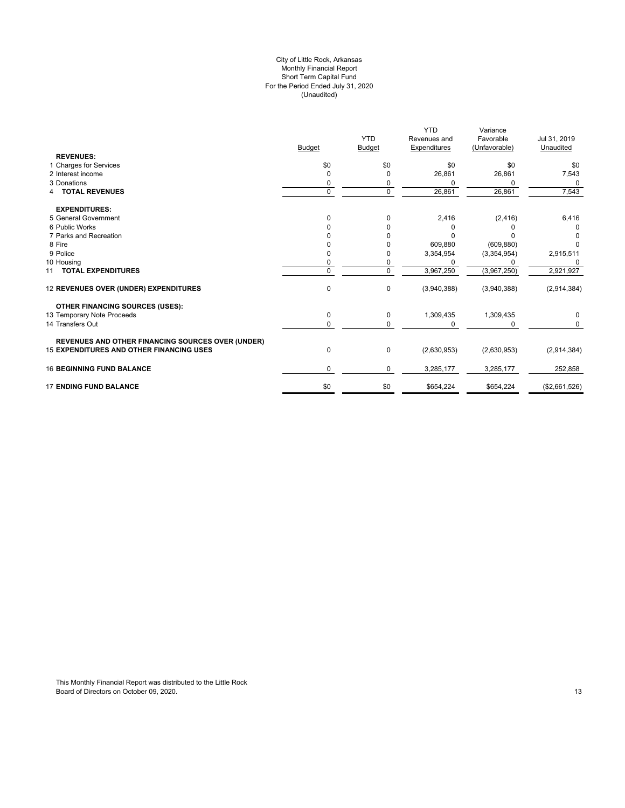## For the Period Ended July 31, 2020 (Unaudited) City of Little Rock, Arkansas Monthly Financial Report Short Term Capital Fund

|                                                          | <b>Budget</b> | <b>YTD</b><br><b>Budget</b> | <b>YTD</b><br>Revenues and<br>Expenditures | Variance<br>Favorable<br>(Unfavorable) | Jul 31, 2019<br>Unaudited |
|----------------------------------------------------------|---------------|-----------------------------|--------------------------------------------|----------------------------------------|---------------------------|
| <b>REVENUES:</b>                                         |               |                             |                                            |                                        |                           |
| 1 Charges for Services                                   | \$0           | \$0                         | \$0                                        | \$0                                    | \$0                       |
| 2 Interest income                                        | O             | <sup>0</sup>                | 26,861                                     | 26,861                                 | 7,543                     |
| 3 Donations                                              |               | 0                           | <sup>0</sup>                               | 0                                      | $\Omega$                  |
| <b>4 TOTAL REVENUES</b>                                  | $\mathbf 0$   | $\mathbf 0$                 | 26,861                                     | 26,861                                 | 7,543                     |
| <b>EXPENDITURES:</b>                                     |               |                             |                                            |                                        |                           |
| 5 General Government                                     | O             | 0                           | 2,416                                      | (2, 416)                               | 6,416                     |
| 6 Public Works                                           |               | 0                           | 0                                          |                                        |                           |
| 7 Parks and Recreation                                   |               | <sup>0</sup>                | U                                          |                                        | $\Omega$                  |
| 8 Fire                                                   |               |                             | 609,880                                    | (609, 880)                             | O                         |
| 9 Police                                                 |               | 0                           | 3,354,954                                  | (3,354,954)                            | 2,915,511                 |
| 10 Housing                                               |               | 0                           | $\Omega$                                   |                                        | 0                         |
| 11 TOTAL EXPENDITURES                                    | $\Omega$      | $\Omega$                    | 3,967,250                                  | (3,967,250)                            | 2,921,927                 |
| 12 REVENUES OVER (UNDER) EXPENDITURES                    | $\mathbf 0$   | $\mathbf 0$                 | (3,940,388)                                | (3,940,388)                            | (2,914,384)               |
| <b>OTHER FINANCING SOURCES (USES):</b>                   |               |                             |                                            |                                        |                           |
| 13 Temporary Note Proceeds                               | 0             | 0                           | 1,309,435                                  | 1,309,435                              | 0                         |
| 14 Transfers Out                                         | 0             | $\Omega$                    | $\Omega$                                   |                                        | $\Omega$                  |
| <b>REVENUES AND OTHER FINANCING SOURCES OVER (UNDER)</b> |               |                             |                                            |                                        |                           |
| 15 EXPENDITURES AND OTHER FINANCING USES                 | $\mathbf 0$   | 0                           | (2,630,953)                                | (2,630,953)                            | (2,914,384)               |
| <b>16 BEGINNING FUND BALANCE</b>                         | 0             | 0                           | 3,285,177                                  | 3,285,177                              | 252,858                   |
| <b>17 ENDING FUND BALANCE</b>                            | \$0           | \$0                         | \$654,224                                  | \$654,224                              | (\$2,661,526)             |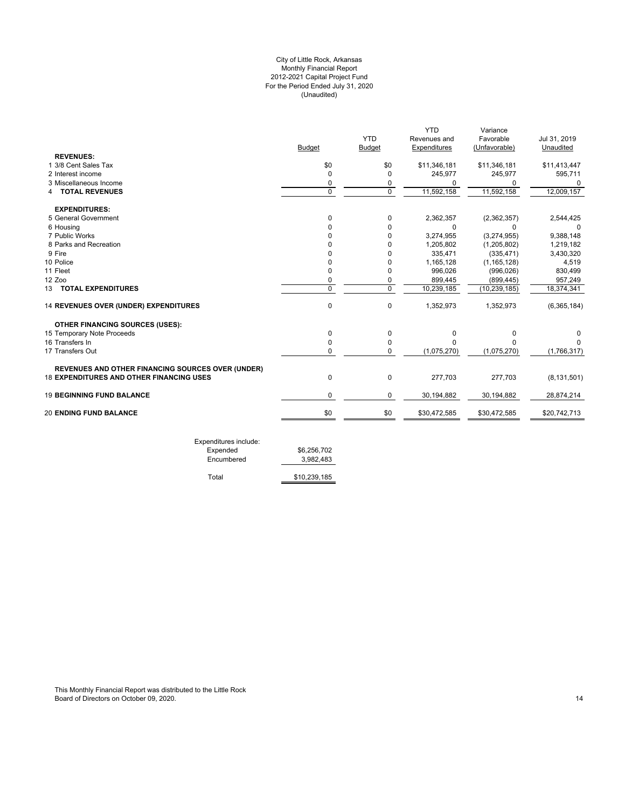## For the Period Ended July 31, 2020 (Unaudited) City of Little Rock, Arkansas Monthly Financial Report 2012-2021 Capital Project Fund

|                                                          |                |               | <b>YTD</b>   | Variance       |               |
|----------------------------------------------------------|----------------|---------------|--------------|----------------|---------------|
|                                                          |                | <b>YTD</b>    | Revenues and | Favorable      | Jul 31, 2019  |
|                                                          | Budget         | <b>Budget</b> | Expenditures | (Unfavorable)  | Unaudited     |
| <b>REVENUES:</b>                                         |                |               |              |                |               |
| 1 3/8 Cent Sales Tax                                     | \$0            | \$0           | \$11,346,181 | \$11,346,181   | \$11,413,447  |
| 2 Interest income                                        | $\Omega$       | <sup>0</sup>  | 245,977      | 245,977        | 595,711       |
| 3 Miscellaneous Income                                   | 0              | 0             | U            | 0              | 0             |
| <b>4 TOTAL REVENUES</b>                                  | $\Omega$       | $\Omega$      | 11,592,158   | 11,592,158     | 12,009,157    |
| <b>EXPENDITURES:</b>                                     |                |               |              |                |               |
| 5 General Government                                     | 0              | 0             | 2,362,357    | (2,362,357)    | 2,544,425     |
| 6 Housing                                                | O              | $\Omega$      | 0            | $\Omega$       | $\Omega$      |
| 7 Public Works                                           |                | 0             | 3,274,955    | (3,274,955)    | 9,388,148     |
| 8 Parks and Recreation                                   |                | 0             | 1,205,802    | (1, 205, 802)  | 1,219,182     |
| 9 Fire                                                   |                |               | 335,471      | (335, 471)     | 3,430,320     |
| 10 Police                                                | U              | 0             | 1,165,128    | (1, 165, 128)  | 4,519         |
| 11 Fleet                                                 | 0              | 0             | 996,026      | (996, 026)     | 830,499       |
| 12 Zoo                                                   | 0              | 0             | 899,445      | (899, 445)     | 957,249       |
| 13 TOTAL EXPENDITURES                                    | $\overline{0}$ | $\mathbf 0$   | 10,239,185   | (10, 239, 185) | 18,374,341    |
| 14 REVENUES OVER (UNDER) EXPENDITURES                    | 0              | 0             | 1,352,973    | 1,352,973      | (6,365,184)   |
| <b>OTHER FINANCING SOURCES (USES):</b>                   |                |               |              |                |               |
| 15 Temporary Note Proceeds                               | 0              | 0             | $\mathbf 0$  | 0              |               |
| 16 Transfers In                                          | $\Omega$       | $\Omega$      | <sup>n</sup> | <sup>0</sup>   | U             |
| 17 Transfers Out                                         | 0              | $\Omega$      | (1,075,270)  | (1,075,270)    | (1,766,317)   |
| <b>REVENUES AND OTHER FINANCING SOURCES OVER (UNDER)</b> |                |               |              |                |               |
| <b>18 EXPENDITURES AND OTHER FINANCING USES</b>          | $\mathbf 0$    | 0             | 277,703      | 277,703        | (8, 131, 501) |
| <b>19 BEGINNING FUND BALANCE</b>                         | 0              | 0             | 30,194,882   | 30,194,882     | 28,874,214    |
| <b>20 ENDING FUND BALANCE</b>                            | \$0            | \$0           | \$30,472,585 | \$30,472,585   | \$20,742,713  |

| Exponditures include. |              |
|-----------------------|--------------|
| Expended              | \$6.256.702  |
| Encumbered            | 3.982.483    |
|                       |              |
| Total                 | \$10.239.185 |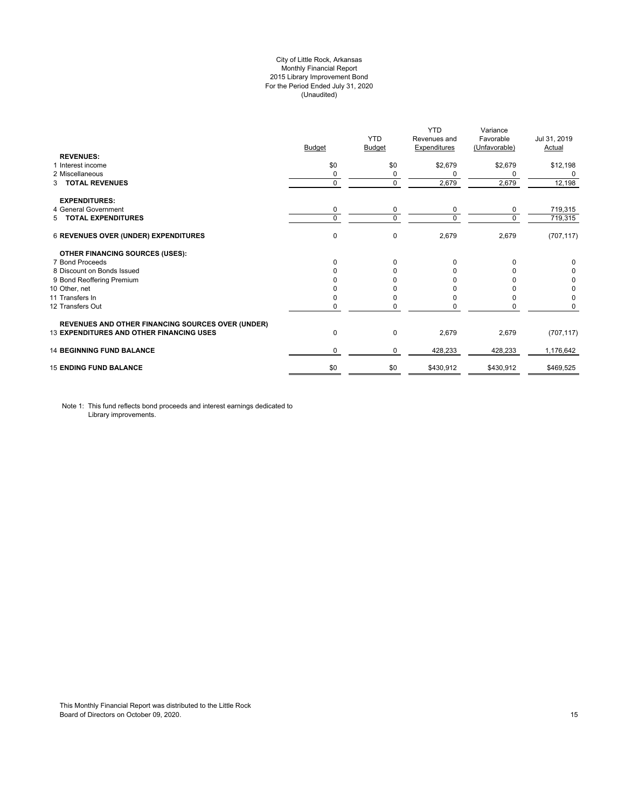## City of Little Rock, Arkansas Monthly Financial Report 2015 Library Improvement Bond For the Period Ended July 31, 2020 (Unaudited)

|                                                          |               | <b>YTD</b>    | <b>YTD</b><br>Revenues and | Variance<br>Favorable | Jul 31, 2019  |
|----------------------------------------------------------|---------------|---------------|----------------------------|-----------------------|---------------|
|                                                          | <b>Budget</b> | <b>Budget</b> | <b>Expenditures</b>        | (Unfavorable)         | <b>Actual</b> |
| <b>REVENUES:</b>                                         |               |               |                            |                       |               |
| 1 Interest income                                        | \$0           | \$0           | \$2,679                    | \$2,679               | \$12,198      |
| 2 Miscellaneous                                          | 0             | 0             | 0                          | 0                     | $\Omega$      |
| <b>TOTAL REVENUES</b><br>3                               | $\pmb{0}$     | $\mathbf 0$   | 2,679                      | 2,679                 | 12,198        |
| <b>EXPENDITURES:</b>                                     |               |               |                            |                       |               |
| 4 General Government                                     | 0             | 0             | 0                          | 0                     | 719,315       |
| 5 TOTAL EXPENDITURES                                     | $\mathbf 0$   | $\Omega$      | $\Omega$                   | $\Omega$              | 719,315       |
| 6 REVENUES OVER (UNDER) EXPENDITURES                     | 0             | $\mathbf 0$   | 2,679                      | 2,679                 | (707, 117)    |
| <b>OTHER FINANCING SOURCES (USES):</b>                   |               |               |                            |                       |               |
| 7 Bond Proceeds                                          | $\Omega$      | $\Omega$      | 0                          | O                     | $\Omega$      |
| 8 Discount on Bonds Issued                               | <sup>0</sup>  | n             | n                          |                       | $\Omega$      |
| 9 Bond Reoffering Premium                                |               |               |                            |                       | 0             |
| 10 Other, net                                            |               |               |                            |                       | 0             |
| 11 Transfers In                                          | 0             |               |                            |                       | 0             |
| 12 Transfers Out                                         | 0             | 0             |                            | 0                     | $\mathbf 0$   |
| <b>REVENUES AND OTHER FINANCING SOURCES OVER (UNDER)</b> |               |               |                            |                       |               |
| <b>13 EXPENDITURES AND OTHER FINANCING USES</b>          | 0             | $\mathbf 0$   | 2,679                      | 2,679                 | (707, 117)    |
| <b>14 BEGINNING FUND BALANCE</b>                         | 0             | 0             | 428,233                    | 428,233               | 1,176,642     |
| <b>15 ENDING FUND BALANCE</b>                            | \$0           | \$0           | \$430,912                  | \$430,912             | \$469,525     |

Note 1: This fund reflects bond proceeds and interest earnings dedicated to Library improvements.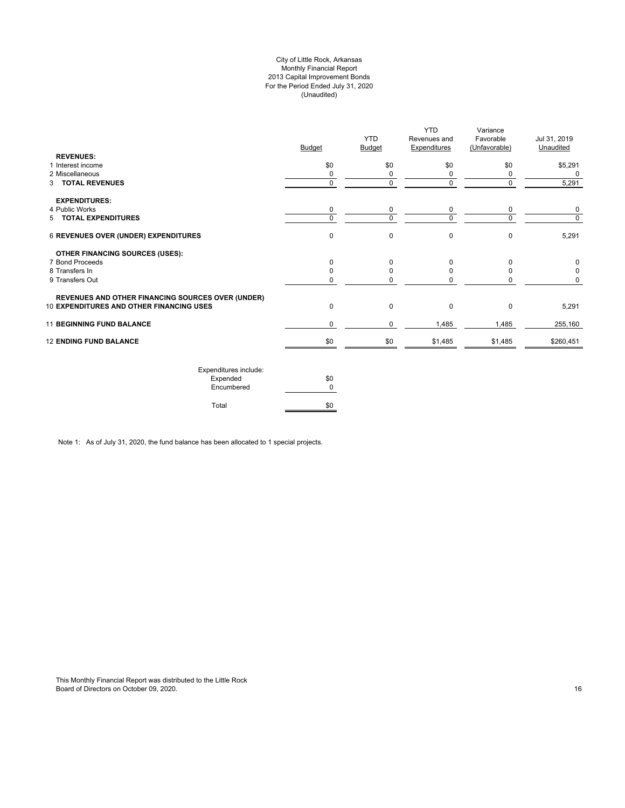## City of Little Rock, Arkansas Monthly Financial Report 2013 Capital Improvement Bonds For the Period Ended July 31, 2020 (Unaudited)

|                                                          | <b>Budget</b> | <b>YTD</b><br><b>Budget</b> | <b>YTD</b><br>Revenues and<br><b>Expenditures</b> | Variance<br>Favorable<br>(Unfavorable) | Jul 31, 2019<br>Unaudited |
|----------------------------------------------------------|---------------|-----------------------------|---------------------------------------------------|----------------------------------------|---------------------------|
| <b>REVENUES:</b><br>1 Interest income                    | \$0           | \$0                         | \$0                                               | \$0                                    |                           |
| 2 Miscellaneous                                          | $\Omega$      | 0                           | 0                                                 | 0                                      | \$5,291<br>O              |
| 3 TOTAL REVENUES                                         | 0             | 0                           | 0                                                 | $\Omega$                               | 5,291                     |
| <b>EXPENDITURES:</b>                                     |               |                             |                                                   |                                        |                           |
| 4 Public Works                                           | 0             | 0                           | 0                                                 | 0                                      | 0                         |
| 5 TOTAL EXPENDITURES                                     | $\Omega$      | $\Omega$                    | $\Omega$                                          | U                                      | $\Omega$                  |
| <b>6 REVENUES OVER (UNDER) EXPENDITURES</b>              | $\Omega$      | 0                           | $\mathbf 0$                                       | $\Omega$                               | 5,291                     |
| <b>OTHER FINANCING SOURCES (USES):</b>                   |               |                             |                                                   |                                        |                           |
| 7 Bond Proceeds                                          | <sup>0</sup>  | O                           | $\Omega$                                          | <sup>0</sup>                           | 0                         |
| 8 Transfers In                                           | <sup>0</sup>  |                             | $\Omega$                                          |                                        | 0                         |
| 9 Transfers Out                                          | <sup>0</sup>  |                             | U                                                 |                                        | 0                         |
| <b>REVENUES AND OTHER FINANCING SOURCES OVER (UNDER)</b> |               |                             |                                                   |                                        |                           |
| <b>10 EXPENDITURES AND OTHER FINANCING USES</b>          | $\mathbf 0$   | 0                           | $\mathbf 0$                                       | $\Omega$                               | 5,291                     |
| <b>11 BEGINNING FUND BALANCE</b>                         | 0             | 0                           | 1,485                                             | 1,485                                  | 255,160                   |
| <b>12 ENDING FUND BALANCE</b>                            | \$0           | \$0                         | \$1,485                                           | \$1,485                                | \$260,451                 |
|                                                          |               |                             |                                                   |                                        |                           |

| Expenditures include: |     |
|-----------------------|-----|
| Expended              | \$0 |
| Encumbered            |     |
| Total                 |     |

Note 1: As of July 31, 2020, the fund balance has been allocated to 1 special projects.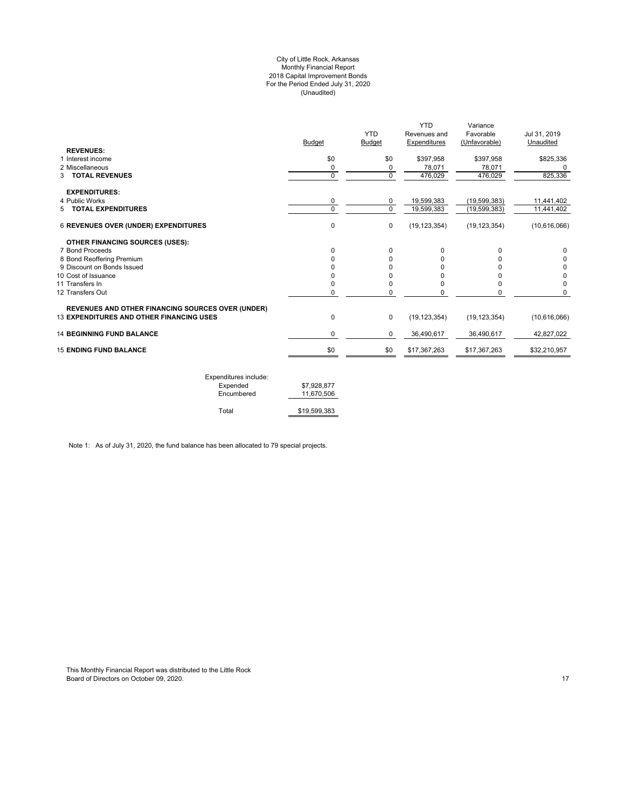#### City of Little Rock, Arkansas Monthly Financial Report 2018 Capital Improvement Bonds For the Period Ended July 31, 2020 (Unaudited)

| <b>Budget</b> | <b>YTD</b><br>Budget | <b>YTD</b><br>Revenues and<br>Expenditures | Variance<br>Favorable<br>(Unfavorable)      | Jul 31, 2019<br>Unaudited             |
|---------------|----------------------|--------------------------------------------|---------------------------------------------|---------------------------------------|
|               |                      |                                            |                                             |                                       |
|               |                      |                                            |                                             | \$825,336                             |
| 0             | $\mathbf 0$          | 476,029                                    | 476,029                                     | 825,336                               |
|               |                      |                                            |                                             |                                       |
| 0             | 0                    |                                            |                                             | 11,441,402                            |
| $\Omega$      | $\Omega$             | 19,599,383                                 | (19, 599, 383)                              | 11,441,402                            |
| 0             | $\mathbf 0$          | (19, 123, 354)                             | (19, 123, 354)                              | (10,616,066)                          |
|               |                      |                                            |                                             |                                       |
| 0             | $\Omega$             | 0                                          | 0                                           | 0                                     |
| O             | 0                    | 0                                          | U                                           |                                       |
|               | U                    | ŋ                                          |                                             | 0                                     |
| ŋ             | U                    | ŋ                                          |                                             | 0                                     |
|               |                      |                                            | 0                                           | 0                                     |
|               |                      |                                            | 0                                           | $\Omega$                              |
| 0             | $\mathbf 0$          | (19, 123, 354)                             | (19, 123, 354)                              | (10,616,066)                          |
| 0             | 0                    | 36,490,617                                 | 36,490,617                                  | 42,827,022                            |
| \$0           | \$0                  | \$17,367,263                               | \$17,367,263                                | \$32,210,957                          |
|               | \$0<br>0<br>0<br>0   | \$0<br>0<br>0<br>0                         | \$397,958<br>78,071<br>19,599,383<br>0<br>0 | \$397,958<br>78,071<br>(19, 599, 383) |

| Expenditures include: |              |
|-----------------------|--------------|
| Expended              | \$7,928,877  |
| Encumbered            | 11.670.506   |
|                       |              |
| Total                 | \$19,599,383 |

Note 1: As of July 31, 2020, the fund balance has been allocated to 79 special projects.

This Monthly Financial Report was distributed to the Little Rock Board of Directors on October 09, 2020. 17 Australian Control of Directors of Directors on October 09, 2020.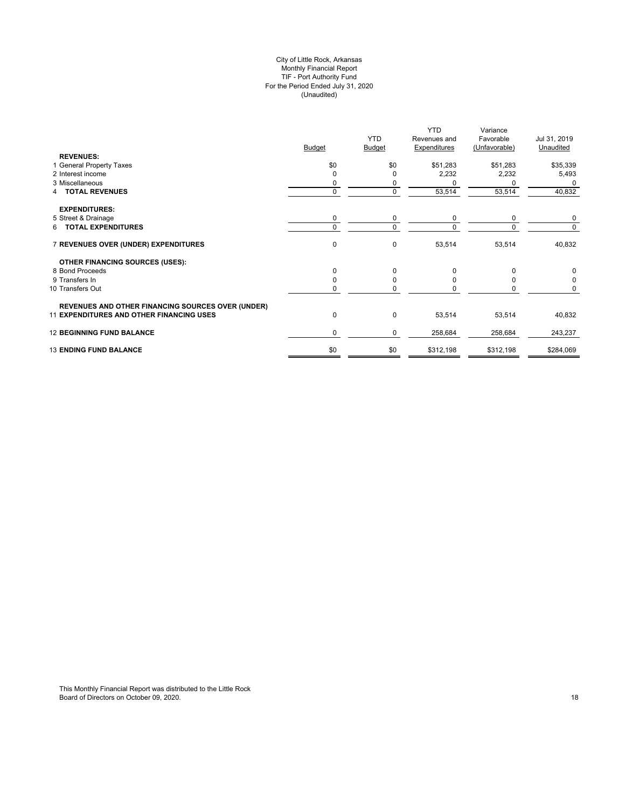## City of Little Rock, Arkansas Monthly Financial Report TIF - Port Authority Fund For the Period Ended July 31, 2020 (Unaudited)

| <b>Expenditures</b><br><b>Budget</b><br><b>Budget</b><br>(Unfavorable)                  | Unaudited |
|-----------------------------------------------------------------------------------------|-----------|
|                                                                                         |           |
| <b>REVENUES:</b><br>1 General Property Taxes<br>\$0<br>\$0<br>\$51,283<br>\$51,283      | \$35,339  |
| 2 Interest income<br>2,232<br>2,232<br>$\Omega$<br>O                                    | 5,493     |
| 3 Miscellaneous<br>0<br>0                                                               | 0         |
| $\mathbf 0$<br>$\mathbf 0$<br>53,514<br>53,514<br>4 TOTAL REVENUES                      | 40,832    |
| <b>EXPENDITURES:</b>                                                                    |           |
| 5 Street & Drainage<br>0<br>0<br>0<br>0                                                 | 0         |
| $\mathbf 0$<br>6 TOTAL EXPENDITURES<br>$\Omega$<br>$\Omega$<br>$\Omega$                 | $\Omega$  |
| $\pmb{0}$<br>7 REVENUES OVER (UNDER) EXPENDITURES<br>$\mathbf 0$<br>53,514<br>53,514    | 40,832    |
| <b>OTHER FINANCING SOURCES (USES):</b>                                                  |           |
| 8 Bond Proceeds<br>$\mathbf 0$<br>$\mathbf 0$<br>$\Omega$<br>0                          | 0         |
| 9 Transfers In<br>0<br>O<br>n                                                           | 0         |
| 10 Transfers Out<br>$\mathbf 0$<br>0<br>0                                               | 0         |
| <b>REVENUES AND OTHER FINANCING SOURCES OVER (UNDER)</b>                                |           |
| <b>11 EXPENDITURES AND OTHER FINANCING USES</b><br>0<br>$\mathbf 0$<br>53,514<br>53,514 | 40,832    |
| <b>12 BEGINNING FUND BALANCE</b><br>0<br>0<br>258,684<br>258,684                        | 243,237   |
| \$0<br><b>13 ENDING FUND BALANCE</b><br>\$0<br>\$312,198<br>\$312,198                   | \$284,069 |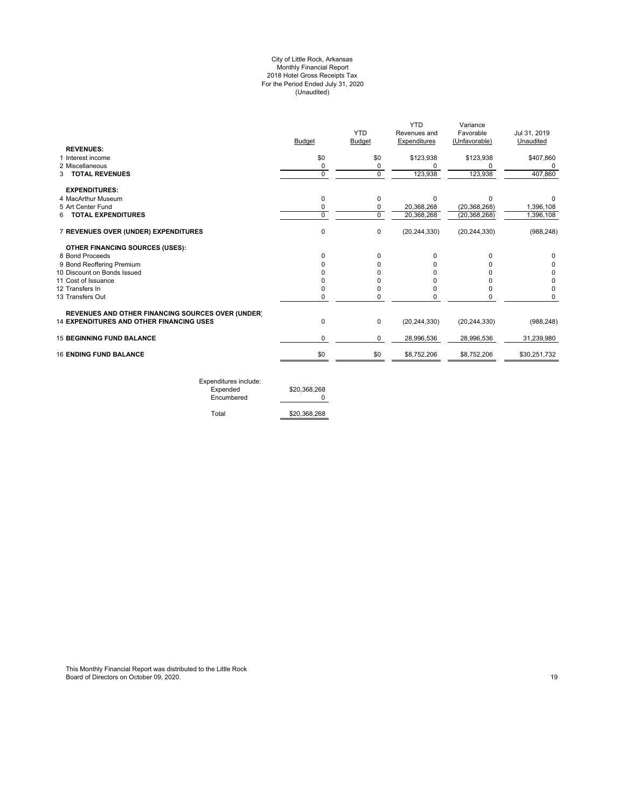#### City of Little Rock, Arkansas Monthly Financial Report 2018 Hotel Gross Receipts Tax For the Period Ended July 31, 2020 (Unaudited)

|                                                          |               |               | YTD            | Variance       |              |
|----------------------------------------------------------|---------------|---------------|----------------|----------------|--------------|
|                                                          |               | <b>YTD</b>    | Revenues and   | Favorable      | Jul 31, 2019 |
|                                                          | <b>Budget</b> | <b>Budget</b> | Expenditures   | (Unfavorable)  | Unaudited    |
| <b>REVENUES:</b>                                         |               |               |                |                |              |
| 1 Interest income                                        | \$0           | \$0           | \$123,938      | \$123,938      | \$407,860    |
| 2 Miscellaneous                                          | 0             | 0             | $\Omega$       |                | 0            |
| <b>3 TOTAL REVENUES</b>                                  | $\mathbf 0$   | 0             | 123,938        | 123,938        | 407,860      |
| <b>EXPENDITURES:</b>                                     |               |               |                |                |              |
| 4 MacArthur Museum                                       | 0             | 0             | $\Omega$       | ∩              |              |
| 5 Art Center Fund                                        | 0             | 0             | 20,368,268     | (20, 368, 268) | 1,396,108    |
| <b>TOTAL EXPENDITURES</b><br>6                           | $\Omega$      | $\Omega$      | 20,368,268     | (20, 368, 268) | 1,396,108    |
| 7 REVENUES OVER (UNDER) EXPENDITURES                     | 0             | 0             | (20, 244, 330) | (20, 244, 330) | (988, 248)   |
| OTHER FINANCING SOURCES (USES):                          |               |               |                |                |              |
| 8 Bond Proceeds                                          |               | 0             | $\Omega$       |                | 0            |
| 9 Bond Reoffering Premium                                |               | n             |                |                | 0            |
| 10 Discount on Bonds Issued                              |               | U             |                |                | 0            |
| 11 Cost of Issuance                                      |               | n             |                |                | 0            |
| 12 Transfers In                                          |               | 0             |                |                | 0            |
| 13 Transfers Out                                         | 0             | 0             | <sup>0</sup>   |                | 0            |
| <b>REVENUES AND OTHER FINANCING SOURCES OVER (UNDER)</b> |               |               |                |                |              |
| <b>14 EXPENDITURES AND OTHER FINANCING USES</b>          | $\Omega$      | 0             | (20, 244, 330) | (20, 244, 330) | (988, 248)   |
| <b>15 BEGINNING FUND BALANCE</b>                         | 0             | 0             | 28,996,536     | 28,996,536     | 31,239,980   |
| <b>16 ENDING FUND BALANCE</b>                            | \$0           | \$0           | \$8,752,206    | \$8,752,206    | \$30,251,732 |
|                                                          |               |               |                |                |              |

Expenditures include: Expended \$20,368,268 Encumbered 0

Total \$20,368,268

This Monthly Financial Report was distributed to the Little Rock Board of Directors on October 09, 2020. 19 Australian 19 Australian 19 Australian 19 Australian 19 Australian 19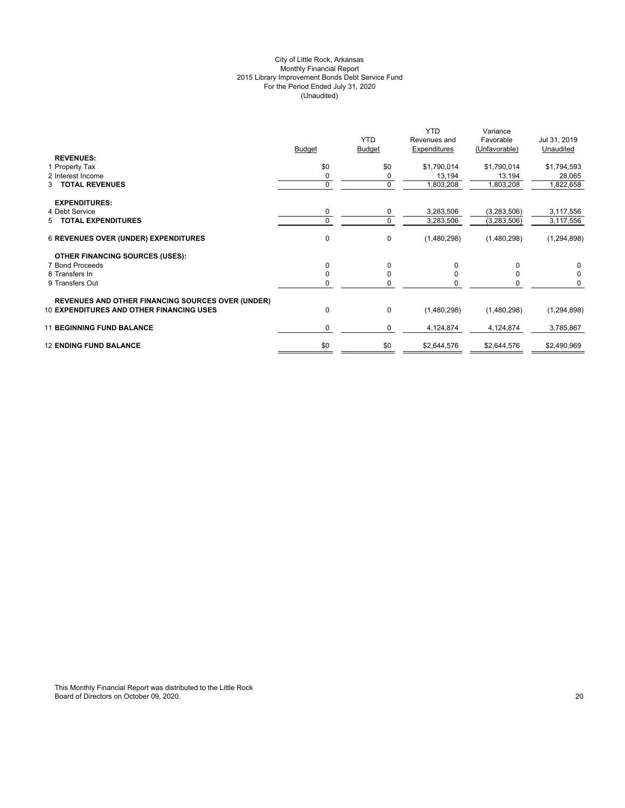## City of Little Rock, Arkansas Monthly Financial Report 2015 Library Improvement Bonds Debt Service Fund For the Period Ended July 31, 2020 (Unaudited)

|                                                          | <b>Budget</b> | <b>YTD</b><br><b>Budget</b> | <b>YTD</b><br>Revenues and<br>Expenditures | Variance<br>Favorable<br>(Unfavorable) | Jul 31, 2019<br>Unaudited |
|----------------------------------------------------------|---------------|-----------------------------|--------------------------------------------|----------------------------------------|---------------------------|
| <b>REVENUES:</b>                                         |               |                             |                                            |                                        |                           |
| 1 Property Tax                                           | \$0           | \$0                         | \$1,790,014                                | \$1,790,014                            | \$1,794,593               |
| 2 Interest Income                                        | 0             | 0                           | 13,194                                     | 13,194                                 | 28,065                    |
| 3 TOTAL REVENUES                                         | 0             | 0                           | 1,803,208                                  | 1,803,208                              | 1,822,658                 |
| <b>EXPENDITURES:</b>                                     |               |                             |                                            |                                        |                           |
| 4 Debt Service                                           | 0             | 0                           | 3,283,506                                  | (3,283,506)                            | 3,117,556                 |
| 5 TOTAL EXPENDITURES                                     | $\Omega$      | $\mathbf 0$                 | 3,283,506                                  | (3,283,506)                            | 3,117,556                 |
| <b>6 REVENUES OVER (UNDER) EXPENDITURES</b>              | 0             | $\mathbf 0$                 | (1,480,298)                                | (1,480,298)                            | (1, 294, 898)             |
| <b>OTHER FINANCING SOURCES (USES):</b>                   |               |                             |                                            |                                        |                           |
| 7 Bond Proceeds                                          | 0             | $\Omega$                    | 0                                          |                                        | 0                         |
| 8 Transfers In                                           | 0             | 0                           |                                            |                                        | 0                         |
| 9 Transfers Out                                          | O             | 0                           |                                            |                                        | 0                         |
| <b>REVENUES AND OTHER FINANCING SOURCES OVER (UNDER)</b> |               |                             |                                            |                                        |                           |
| <b>10 EXPENDITURES AND OTHER FINANCING USES</b>          | 0             | $\mathbf 0$                 | (1,480,298)                                | (1,480,298)                            | (1, 294, 898)             |
| <b>11 BEGINNING FUND BALANCE</b>                         | $\Omega$      | 0                           | 4,124,874                                  | 4,124,874                              | 3,785,867                 |
| <b>12 ENDING FUND BALANCE</b>                            | \$0           | \$0                         | \$2,644,576                                | \$2,644,576                            | \$2,490,969               |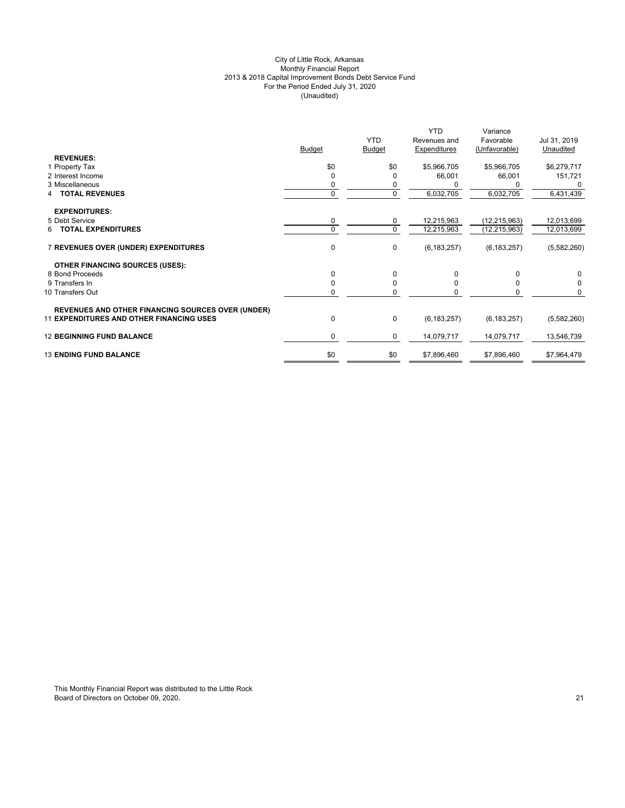## City of Little Rock, Arkansas Monthly Financial Report 2013 & 2018 Capital Improvement Bonds Debt Service Fund For the Period Ended July 31, 2020 (Unaudited)

|                                                          | <b>Budget</b> | <b>YTD</b><br><b>Budget</b> | <b>YTD</b><br>Revenues and<br>Expenditures | Variance<br>Favorable<br>(Unfavorable) | Jul 31, 2019<br>Unaudited |
|----------------------------------------------------------|---------------|-----------------------------|--------------------------------------------|----------------------------------------|---------------------------|
| <b>REVENUES:</b>                                         |               |                             |                                            |                                        |                           |
| 1 Property Tax                                           | \$0           | \$0                         | \$5,966,705                                | \$5,966,705                            | \$6,279,717               |
| 2 Interest Income                                        | $\Omega$      | $\Omega$                    | 66,001                                     | 66,001                                 | 151,721                   |
| 3 Miscellaneous                                          | 0             | 0                           |                                            |                                        |                           |
| <b>TOTAL REVENUES</b>                                    | $\mathbf{0}$  | $\mathbf 0$                 | 6,032,705                                  | 6,032,705                              | 6,431,439                 |
| <b>EXPENDITURES:</b>                                     |               |                             |                                            |                                        |                           |
| 5 Debt Service                                           | 0             | 0                           | 12,215,963                                 | (12, 215, 963)                         | 12,013,699                |
| <b>TOTAL EXPENDITURES</b><br>6                           | $\Omega$      | $\mathbf 0$                 | 12,215,963                                 | (12, 215, 963)                         | 12,013,699                |
| 7 REVENUES OVER (UNDER) EXPENDITURES                     | 0             | 0                           | (6, 183, 257)                              | (6, 183, 257)                          | (5,582,260)               |
| <b>OTHER FINANCING SOURCES (USES):</b>                   |               |                             |                                            |                                        |                           |
| 8 Bond Proceeds                                          | $\Omega$      | 0                           | 0                                          | $\Omega$                               | 0                         |
| 9 Transfers In                                           | $\Omega$      | 0                           | <sup>0</sup>                               | 0                                      | 0                         |
| 10 Transfers Out                                         | 0             | 0                           |                                            |                                        | 0                         |
| <b>REVENUES AND OTHER FINANCING SOURCES OVER (UNDER)</b> |               |                             |                                            |                                        |                           |
| <b>11 EXPENDITURES AND OTHER FINANCING USES</b>          | $\Omega$      | 0                           | (6, 183, 257)                              | (6, 183, 257)                          | (5,582,260)               |
| <b>12 BEGINNING FUND BALANCE</b>                         | $\mathbf 0$   | 0                           | 14,079,717                                 | 14,079,717                             | 13,546,739                |
| <b>13 ENDING FUND BALANCE</b>                            | \$0           | \$0                         | \$7,896,460                                | \$7,896,460                            | \$7,964,479               |
|                                                          |               |                             |                                            |                                        |                           |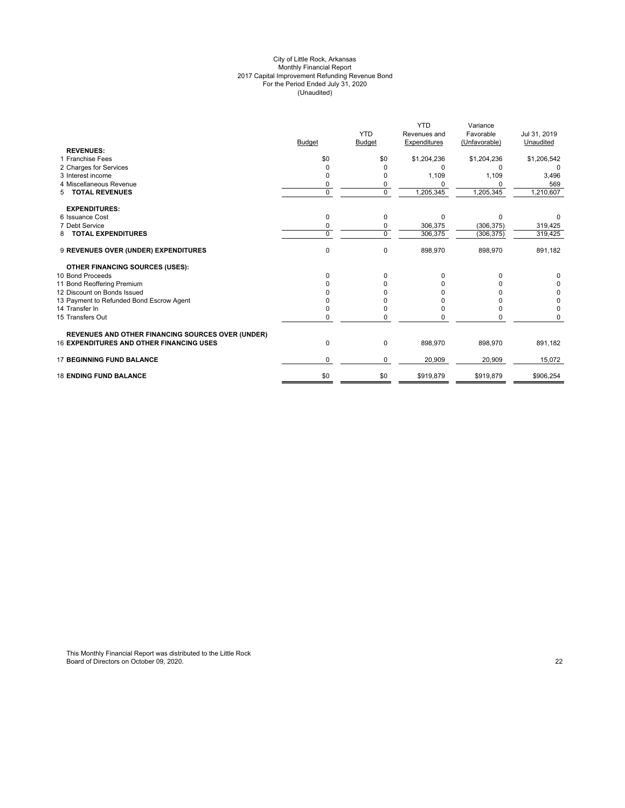#### City of Little Rock, Arkansas Monthly Financial Report 2017 Capital Improvement Refunding Revenue Bond For the Period Ended July 31, 2020 (Unaudited)

|                                                   |               |                | <b>YTD</b>   | Variance      |              |
|---------------------------------------------------|---------------|----------------|--------------|---------------|--------------|
|                                                   |               | <b>YTD</b>     | Revenues and | Favorable     | Jul 31, 2019 |
|                                                   | <b>Budget</b> | Budget         | Expenditures | (Unfavorable) | Unaudited    |
| <b>REVENUES:</b>                                  |               |                |              |               |              |
| 1 Franchise Fees                                  | \$0           | \$0            | \$1,204,236  | \$1,204,236   | \$1,206,542  |
| 2 Charges for Services                            | 0             |                | n            | O             |              |
| 3 Interest income                                 |               |                | 1,109        | 1,109         | 3,496        |
| 4 Miscellaneous Revenue                           | 0             | 0              |              | O             | 569          |
| <b>TOTAL REVENUES</b><br>5                        | $\Omega$      | $\overline{0}$ | 1,205,345    | 1,205,345     | 1,210,607    |
| <b>EXPENDITURES:</b>                              |               |                |              |               |              |
| 6 Issuance Cost                                   | $\Omega$      | 0              | $\Omega$     | $\Omega$      |              |
| 7 Debt Service                                    | $\Omega$      | 0              | 306,375      | (306, 375)    | 319,425      |
| <b>TOTAL EXPENDITURES</b><br>8                    | $\Omega$      | $\mathbf 0$    | 306,375      | (306, 375)    | 319,425      |
| 9 REVENUES OVER (UNDER) EXPENDITURES              | $\mathbf 0$   | 0              | 898,970      | 898,970       | 891,182      |
| <b>OTHER FINANCING SOURCES (USES):</b>            |               |                |              |               |              |
| 10 Bond Proceeds                                  | $\Omega$      | 0              |              |               |              |
| 11 Bond Reoffering Premium                        |               |                |              |               | 0            |
| 12 Discount on Bonds Issued                       |               |                |              |               | 0            |
| 13 Payment to Refunded Bond Escrow Agent          |               |                |              |               | 0            |
| 14 Transfer In                                    |               |                |              |               | $\Omega$     |
| 15 Transfers Out                                  | $\Omega$      | 0              |              |               |              |
| REVENUES AND OTHER FINANCING SOURCES OVER (UNDER) |               |                |              |               |              |
| <b>16 EXPENDITURES AND OTHER FINANCING USES</b>   | 0             | 0              | 898,970      | 898,970       | 891,182      |
| <b>17 BEGINNING FUND BALANCE</b>                  | $\Omega$      | 0              | 20,909       | 20,909        | 15,072       |
| <b>18 ENDING FUND BALANCE</b>                     | \$0           | \$0            | \$919,879    | \$919,879     | \$906,254    |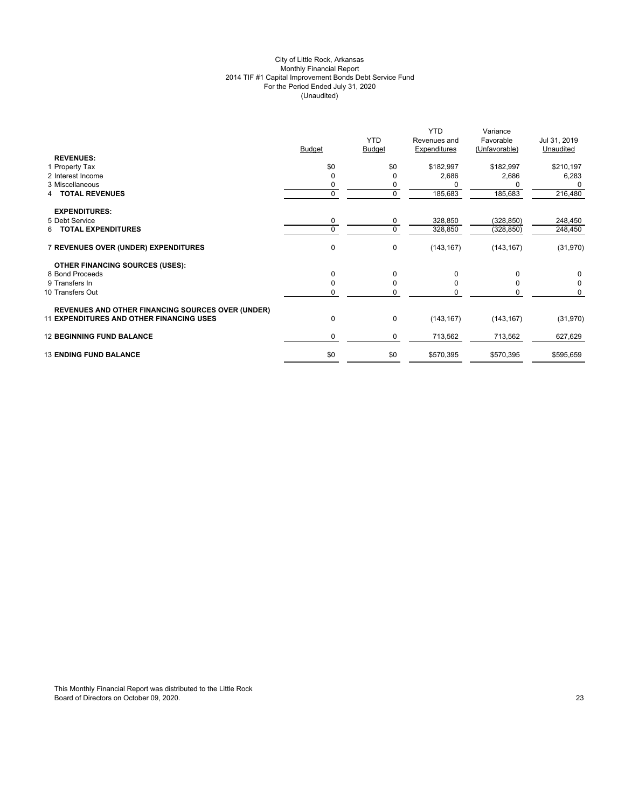## City of Little Rock, Arkansas Monthly Financial Report 2014 TIF #1 Capital Improvement Bonds Debt Service Fund For the Period Ended July 31, 2020 (Unaudited)

| <b>REVENUES:</b><br>\$0<br>\$0<br>\$182,997<br>\$182,997<br>1 Property Tax<br>2 Interest Income<br>2,686<br>2,686<br>$\Omega$<br>$\Omega$<br>3 Miscellaneous<br>0<br>0<br>0<br>185,683<br>185,683<br>$\mathbf{0}$<br><b>TOTAL REVENUES</b><br>4<br><b>EXPENDITURES:</b><br>0<br>5 Debt Service<br>(328, 850)<br>0<br>328,850<br>$\mathbf 0$<br><b>6 TOTAL EXPENDITURES</b><br>$\Omega$<br>328,850<br>(328, 850)<br>0<br>7 REVENUES OVER (UNDER) EXPENDITURES<br>0<br>(143, 167)<br>(143, 167)<br><b>OTHER FINANCING SOURCES (USES):</b><br>0<br>8 Bond Proceeds<br>$\Omega$<br>0<br>$\Omega$<br>$\mathbf 0$<br>9 Transfers In<br>$\Omega$<br>$\Omega$<br>$\Omega$<br>0<br>10 Transfers Out<br>0<br>O<br>$\Omega$<br><b>REVENUES AND OTHER FINANCING SOURCES OVER (UNDER)</b><br>$\pmb{0}$<br><b>11 EXPENDITURES AND OTHER FINANCING USES</b><br>0<br>(143, 167)<br>(143, 167) | Jul 31, 2019<br>Unaudited | Variance<br>Favorable<br>(Unfavorable) | <b>YTD</b><br>Revenues and<br>Expenditures | <b>YTD</b><br><b>Budget</b> | <b>Budget</b> |  |
|-------------------------------------------------------------------------------------------------------------------------------------------------------------------------------------------------------------------------------------------------------------------------------------------------------------------------------------------------------------------------------------------------------------------------------------------------------------------------------------------------------------------------------------------------------------------------------------------------------------------------------------------------------------------------------------------------------------------------------------------------------------------------------------------------------------------------------------------------------------------------------|---------------------------|----------------------------------------|--------------------------------------------|-----------------------------|---------------|--|
|                                                                                                                                                                                                                                                                                                                                                                                                                                                                                                                                                                                                                                                                                                                                                                                                                                                                               |                           |                                        |                                            |                             |               |  |
|                                                                                                                                                                                                                                                                                                                                                                                                                                                                                                                                                                                                                                                                                                                                                                                                                                                                               | \$210,197                 |                                        |                                            |                             |               |  |
|                                                                                                                                                                                                                                                                                                                                                                                                                                                                                                                                                                                                                                                                                                                                                                                                                                                                               | 6,283                     |                                        |                                            |                             |               |  |
|                                                                                                                                                                                                                                                                                                                                                                                                                                                                                                                                                                                                                                                                                                                                                                                                                                                                               |                           |                                        |                                            |                             |               |  |
|                                                                                                                                                                                                                                                                                                                                                                                                                                                                                                                                                                                                                                                                                                                                                                                                                                                                               | 216,480                   |                                        |                                            |                             |               |  |
|                                                                                                                                                                                                                                                                                                                                                                                                                                                                                                                                                                                                                                                                                                                                                                                                                                                                               |                           |                                        |                                            |                             |               |  |
|                                                                                                                                                                                                                                                                                                                                                                                                                                                                                                                                                                                                                                                                                                                                                                                                                                                                               | 248,450                   |                                        |                                            |                             |               |  |
|                                                                                                                                                                                                                                                                                                                                                                                                                                                                                                                                                                                                                                                                                                                                                                                                                                                                               | 248,450                   |                                        |                                            |                             |               |  |
|                                                                                                                                                                                                                                                                                                                                                                                                                                                                                                                                                                                                                                                                                                                                                                                                                                                                               | (31, 970)                 |                                        |                                            |                             |               |  |
|                                                                                                                                                                                                                                                                                                                                                                                                                                                                                                                                                                                                                                                                                                                                                                                                                                                                               |                           |                                        |                                            |                             |               |  |
|                                                                                                                                                                                                                                                                                                                                                                                                                                                                                                                                                                                                                                                                                                                                                                                                                                                                               | 0                         |                                        |                                            |                             |               |  |
|                                                                                                                                                                                                                                                                                                                                                                                                                                                                                                                                                                                                                                                                                                                                                                                                                                                                               | $\mathbf 0$               |                                        |                                            |                             |               |  |
|                                                                                                                                                                                                                                                                                                                                                                                                                                                                                                                                                                                                                                                                                                                                                                                                                                                                               | $\Omega$                  |                                        |                                            |                             |               |  |
|                                                                                                                                                                                                                                                                                                                                                                                                                                                                                                                                                                                                                                                                                                                                                                                                                                                                               |                           |                                        |                                            |                             |               |  |
|                                                                                                                                                                                                                                                                                                                                                                                                                                                                                                                                                                                                                                                                                                                                                                                                                                                                               | (31, 970)                 |                                        |                                            |                             |               |  |
| <b>12 BEGINNING FUND BALANCE</b><br>0<br>$\mathbf 0$<br>713,562<br>713,562                                                                                                                                                                                                                                                                                                                                                                                                                                                                                                                                                                                                                                                                                                                                                                                                    | 627,629                   |                                        |                                            |                             |               |  |
| \$0<br><b>13 ENDING FUND BALANCE</b><br>\$0<br>\$570,395<br>\$570,395                                                                                                                                                                                                                                                                                                                                                                                                                                                                                                                                                                                                                                                                                                                                                                                                         | \$595,659                 |                                        |                                            |                             |               |  |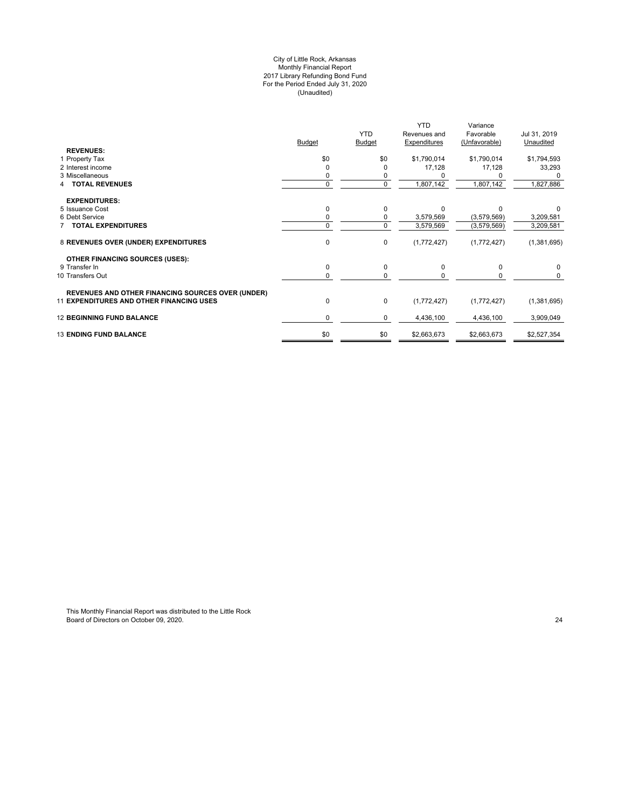#### City of Little Rock, Arkansas Monthly Financial Report 2017 Library Refunding Bond Fund For the Period Ended July 31, 2020 (Unaudited)

|                                                          |               |                | YTD.         | Variance      |              |
|----------------------------------------------------------|---------------|----------------|--------------|---------------|--------------|
|                                                          |               | <b>YTD</b>     | Revenues and | Favorable     | Jul 31, 2019 |
|                                                          | <b>Budget</b> | <b>Budget</b>  | Expenditures | (Unfavorable) | Unaudited    |
| <b>REVENUES:</b>                                         |               |                |              |               |              |
| 1 Property Tax                                           | \$0           | \$0            | \$1,790,014  | \$1,790,014   | \$1,794,593  |
| 2 Interest income                                        |               | 0              | 17,128       | 17,128        | 33,293       |
| 3 Miscellaneous                                          |               |                |              |               |              |
| <b>TOTAL REVENUES</b>                                    | $\Omega$      | $\overline{0}$ | 1,807,142    | 1,807,142     | 1,827,886    |
| <b>EXPENDITURES:</b>                                     |               |                |              |               |              |
| 5 Issuance Cost                                          |               | 0              | $\Omega$     | $\Omega$      |              |
| 6 Debt Service                                           |               | 0              | 3,579,569    | (3,579,569)   | 3,209,581    |
| <b>7 TOTAL EXPENDITURES</b>                              | $\Omega$      | $\mathbf 0$    | 3,579,569    | (3,579,569)   | 3,209,581    |
| 8 REVENUES OVER (UNDER) EXPENDITURES                     | 0             | $\pmb{0}$      | (1,772,427)  | (1,772,427)   | (1,381,695)  |
| <b>OTHER FINANCING SOURCES (USES):</b>                   |               |                |              |               |              |
| 9 Transfer In                                            | $\Omega$      | $\pmb{0}$      | 0            | 0             | 0            |
| 10 Transfers Out                                         | 0             | 0              |              | 0             | 0            |
| <b>REVENUES AND OTHER FINANCING SOURCES OVER (UNDER)</b> |               |                |              |               |              |
| <b>11 EXPENDITURES AND OTHER FINANCING USES</b>          | 0             | $\pmb{0}$      | (1,772,427)  | (1,772,427)   | (1,381,695)  |
| <b>12 BEGINNING FUND BALANCE</b>                         | 0             | 0              | 4,436,100    | 4,436,100     | 3,909,049    |
| <b>13 ENDING FUND BALANCE</b>                            | \$0           | \$0            | \$2,663,673  | \$2,663,673   | \$2,527,354  |
|                                                          |               |                |              |               |              |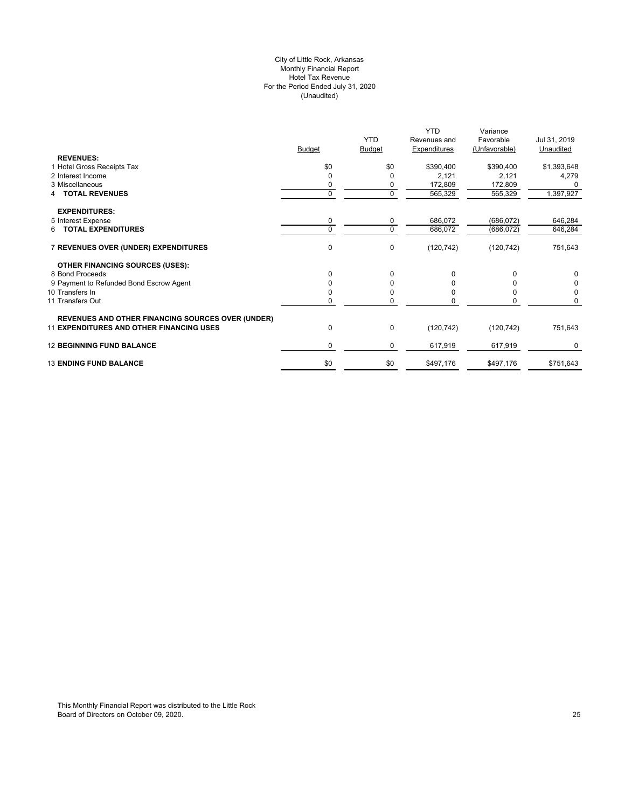## City of Little Rock, Arkansas Monthly Financial Report Hotel Tax Revenue For the Period Ended July 31, 2020 (Unaudited)

|                                                          |               |               | <b>YTD</b>   | Variance      |              |
|----------------------------------------------------------|---------------|---------------|--------------|---------------|--------------|
|                                                          |               | <b>YTD</b>    | Revenues and | Favorable     | Jul 31, 2019 |
|                                                          | <b>Budget</b> | <b>Budget</b> | Expenditures | (Unfavorable) | Unaudited    |
| <b>REVENUES:</b>                                         |               |               |              |               |              |
| 1 Hotel Gross Receipts Tax                               | \$0           | \$0           | \$390,400    | \$390,400     | \$1,393,648  |
| 2 Interest Income                                        | 0             | <sup>0</sup>  | 2,121        | 2,121         | 4,279        |
| 3 Miscellaneous                                          |               | 0             | 172,809      | 172,809       |              |
| <b>TOTAL REVENUES</b>                                    | $\Omega$      | $\mathbf 0$   | 565,329      | 565,329       | 1,397,927    |
| <b>EXPENDITURES:</b>                                     |               |               |              |               |              |
| 5 Interest Expense                                       | 0             | 0             | 686,072      | (686, 072)    | 646,284      |
| 6 TOTAL EXPENDITURES                                     | $\Omega$      | $\mathbf 0$   | 686,072      | (686, 072)    | 646,284      |
| 7 REVENUES OVER (UNDER) EXPENDITURES                     | 0             | $\mathbf 0$   | (120, 742)   | (120, 742)    | 751,643      |
| OTHER FINANCING SOURCES (USES):                          |               |               |              |               |              |
| 8 Bond Proceeds                                          | $\Omega$      | $\Omega$      |              | O             | 0            |
| 9 Payment to Refunded Bond Escrow Agent                  |               | $\Omega$      |              |               | 0            |
| 10 Transfers In                                          |               | <sup>0</sup>  |              |               | 0            |
| 11 Transfers Out                                         | 0             | $\Omega$      |              | U             | 0            |
| <b>REVENUES AND OTHER FINANCING SOURCES OVER (UNDER)</b> |               |               |              |               |              |
| <b>11 EXPENDITURES AND OTHER FINANCING USES</b>          | 0             | $\mathbf 0$   | (120, 742)   | (120, 742)    | 751,643      |
| <b>12 BEGINNING FUND BALANCE</b>                         | 0             | $\mathbf 0$   | 617,919      | 617,919       | 0            |
| <b>13 ENDING FUND BALANCE</b>                            | \$0           | \$0           | \$497,176    | \$497,176     | \$751,643    |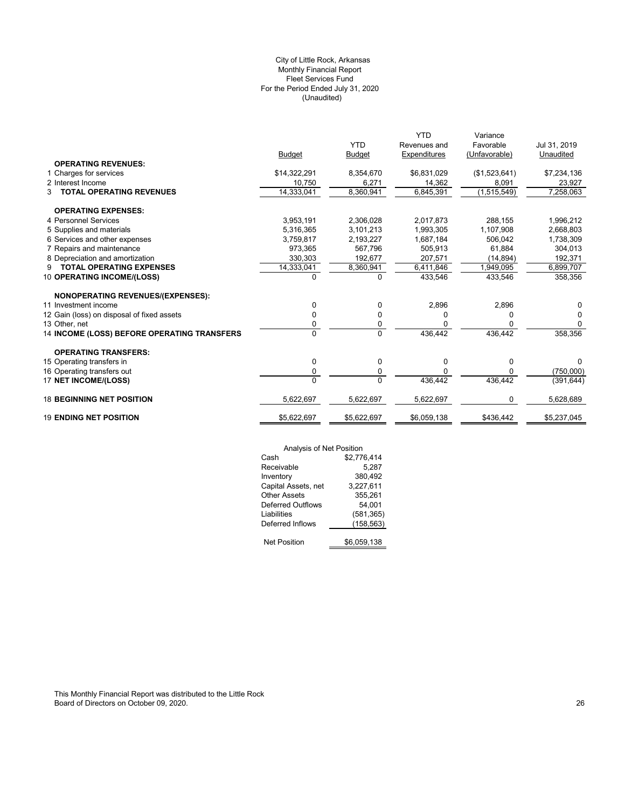## (Unaudited) City of Little Rock, Arkansas Monthly Financial Report Fleet Services Fund For the Period Ended July 31, 2020

|                                             |               |               | <b>YTD</b>   | Variance      |              |
|---------------------------------------------|---------------|---------------|--------------|---------------|--------------|
|                                             |               | <b>YTD</b>    | Revenues and | Favorable     | Jul 31, 2019 |
|                                             | <b>Budget</b> | <b>Budget</b> | Expenditures | (Unfavorable) | Unaudited    |
| <b>OPERATING REVENUES:</b>                  |               |               |              |               |              |
| 1 Charges for services                      | \$14,322,291  | 8,354,670     | \$6,831,029  | (\$1,523,641) | \$7,234,136  |
| 2 Interest Income                           | 10,750        | 6,271         | 14,362       | 8,091         | 23,927       |
| <b>TOTAL OPERATING REVENUES</b><br>3        | 14,333,041    | 8,360,941     | 6,845,391    | (1,515,549)   | 7,258,063    |
| <b>OPERATING EXPENSES:</b>                  |               |               |              |               |              |
| 4 Personnel Services                        | 3,953,191     | 2.306.028     | 2,017,873    | 288.155       | 1,996,212    |
| 5 Supplies and materials                    | 5,316,365     | 3,101,213     | 1,993,305    | 1,107,908     | 2,668,803    |
| 6 Services and other expenses               | 3,759,817     | 2,193,227     | 1,687,184    | 506,042       | 1,738,309    |
| 7 Repairs and maintenance                   | 973.365       | 567.796       | 505.913      | 61.884        | 304,013      |
| 8 Depreciation and amortization             | 330,303       | 192,677       | 207,571      | (14, 894)     | 192,371      |
| <b>TOTAL OPERATING EXPENSES</b><br>9        | 14,333,041    | 8,360,941     | 6,411,846    | 1,949,095     | 6,899,707    |
| 10 OPERATING INCOME/(LOSS)                  | $\Omega$      | $\Omega$      | 433,546      | 433,546       | 358,356      |
| NONOPERATING REVENUES/(EXPENSES):           |               |               |              |               |              |
| 11 Investment income                        | 0             | 0             | 2,896        | 2,896         | 0            |
| 12 Gain (loss) on disposal of fixed assets  | 0             | 0             | 0            | 0             | 0            |
| 13 Other, net                               | 0             | 0             | O            | 0             | 0            |
| 14 INCOME (LOSS) BEFORE OPERATING TRANSFERS | $\Omega$      | $\Omega$      | 436,442      | 436.442       | 358,356      |
| <b>OPERATING TRANSFERS:</b>                 |               |               |              |               |              |
| 15 Operating transfers in                   | 0             | 0             | 0            | 0             | 0            |
| 16 Operating transfers out                  | 0             | 0             | O            | 0             | (750,000)    |
| 17 NET INCOME/(LOSS)                        | $\Omega$      | $\Omega$      | 436,442      | 436,442       | (391, 644)   |
| <b>18 BEGINNING NET POSITION</b>            | 5,622,697     | 5,622,697     | 5,622,697    | 0             | 5,628,689    |
| <b>19 ENDING NET POSITION</b>               | \$5,622,697   | \$5,622,697   | \$6,059,138  | \$436,442     | \$5,237,045  |
|                                             |               |               |              |               |              |

|                          | Analysis of Net Position |  |  |
|--------------------------|--------------------------|--|--|
| Cash                     | \$2,776,414              |  |  |
| Receivable               | 5,287                    |  |  |
| Inventory                | 380,492                  |  |  |
| Capital Assets, net      | 3,227,611                |  |  |
| <b>Other Assets</b>      | 355,261                  |  |  |
| <b>Deferred Outflows</b> | 54,001                   |  |  |
| Liabilities              | (581,365)                |  |  |
| Deferred Inflows         | (158, 563)               |  |  |
| <b>Net Position</b>      | \$6,059,138              |  |  |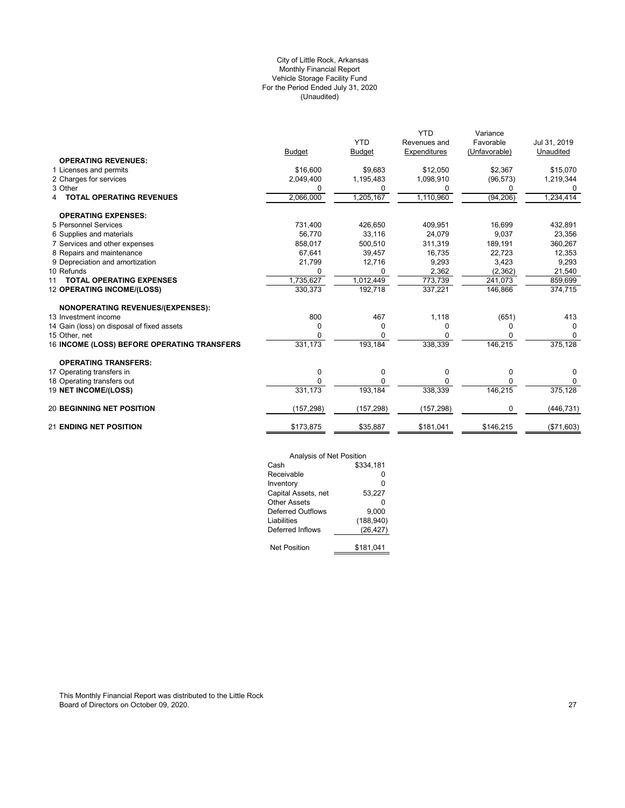## (Unaudited) City of Little Rock, Arkansas Monthly Financial Report Vehicle Storage Facility Fund For the Period Ended July 31, 2020

|                                             |               |               | <b>YTD</b>   | Variance      |              |
|---------------------------------------------|---------------|---------------|--------------|---------------|--------------|
|                                             |               | <b>YTD</b>    | Revenues and | Favorable     | Jul 31, 2019 |
|                                             | <b>Budget</b> | <b>Budget</b> | Expenditures | (Unfavorable) | Unaudited    |
| <b>OPERATING REVENUES:</b>                  |               |               |              |               |              |
| 1 Licenses and permits                      | \$16,600      | \$9,683       | \$12,050     | \$2,367       | \$15,070     |
| 2 Charges for services                      | 2,049,400     | 1,195,483     | 1,098,910    | (96, 573)     | 1,219,344    |
| 3 Other                                     | 0             | 0             | 0            | 0             |              |
| <b>TOTAL OPERATING REVENUES</b><br>4        | 2,066,000     | 1,205,167     | 1,110,960    | (94, 206)     | 1,234,414    |
| <b>OPERATING EXPENSES:</b>                  |               |               |              |               |              |
| 5 Personnel Services                        | 731,400       | 426,650       | 409,951      | 16,699        | 432,891      |
| 6 Supplies and materials                    | 56,770        | 33,116        | 24,079       | 9,037         | 23,356       |
| 7 Services and other expenses               | 858,017       | 500,510       | 311,319      | 189,191       | 360,267      |
| 8 Repairs and maintenance                   | 67,641        | 39,457        | 16,735       | 22,723        | 12,353       |
| 9 Depreciation and amortization             | 21,799        | 12,716        | 9,293        | 3,423         | 9,293        |
| 10 Refunds                                  | 0             |               | 2,362        | (2, 362)      | 21,540       |
| <b>TOTAL OPERATING EXPENSES</b><br>11       | 1.735.627     | 1,012,449     | 773,739      | 241,073       | 859,699      |
| 12 OPERATING INCOME/(LOSS)                  | 330,373       | 192,718       | 337,221      | 146,866       | 374,715      |
| <b>NONOPERATING REVENUES/(EXPENSES):</b>    |               |               |              |               |              |
| 13 Investment income                        | 800           | 467           | 1,118        | (651)         | 413          |
| 14 Gain (loss) on disposal of fixed assets  | 0             | 0             | 0            |               |              |
| 15 Other, net                               | $\Omega$      | O             |              |               | $\Omega$     |
| 16 INCOME (LOSS) BEFORE OPERATING TRANSFERS | 331,173       | 193,184       | 338,339      | 146,215       | 375,128      |
| <b>OPERATING TRANSFERS:</b>                 |               |               |              |               |              |
| 17 Operating transfers in                   | 0             | 0             | 0            | 0             | $\Omega$     |
| 18 Operating transfers out                  | $\Omega$      | <sup>0</sup>  | <sup>0</sup> |               | $\Omega$     |
| 19 NET INCOME/(LOSS)                        | 331,173       | 193,184       | 338,339      | 146,215       | 375,128      |
| <b>20 BEGINNING NET POSITION</b>            | (157, 298)    | (157, 298)    | (157, 298)   |               | (446, 731)   |
| <b>21 ENDING NET POSITION</b>               | \$173,875     | \$35,887      | \$181,041    | \$146,215     | (\$71,603)   |

| Analysis of Net Position |            |
|--------------------------|------------|
| Cash                     | \$334.181  |
| Receivable               | ŋ          |
| Inventory                | ŋ          |
| Capital Assets, net      | 53,227     |
| <b>Other Assets</b>      | ŋ          |
| Deferred Outflows        | 9.000      |
| Liabilities              | (188, 940) |
| Deferred Inflows         | (26, 427)  |
|                          |            |
| <b>Net Position</b>      | \$181,041  |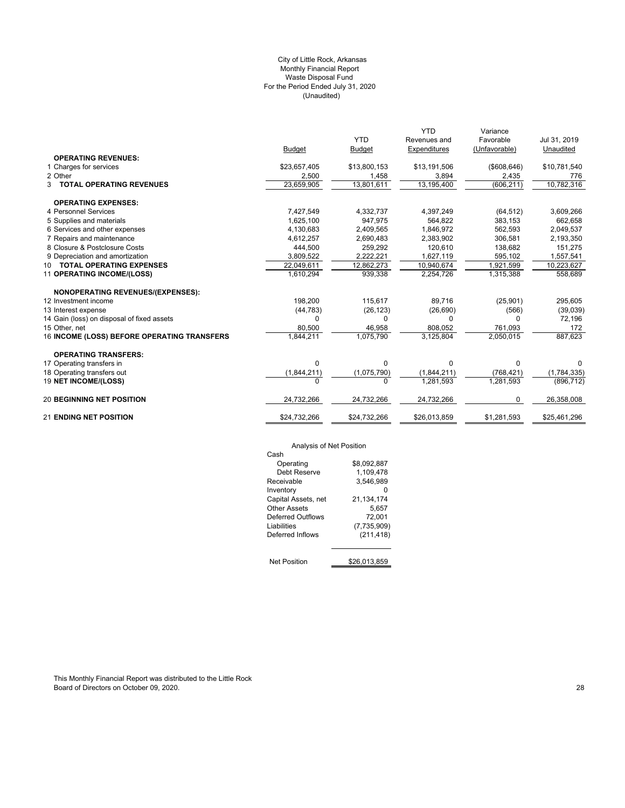## (Unaudited) City of Little Rock, Arkansas Monthly Financial Report Waste Disposal Fund For the Period Ended July 31, 2020

|                                             |                         |               | <b>YTD</b>   | Variance      |              |
|---------------------------------------------|-------------------------|---------------|--------------|---------------|--------------|
|                                             |                         | <b>YTD</b>    | Revenues and | Favorable     | Jul 31, 2019 |
|                                             | <b>Budget</b>           | <b>Budget</b> | Expenditures | (Unfavorable) | Unaudited    |
| <b>OPERATING REVENUES:</b>                  |                         |               |              |               |              |
| 1 Charges for services                      | \$23,657,405            | \$13,800,153  | \$13,191,506 | ( \$608, 646) | \$10,781,540 |
| 2 Other                                     | 2,500                   | 1,458         | 3,894        | 2,435         | 776          |
| <b>3 TOTAL OPERATING REVENUES</b>           | $\overline{23,659,905}$ | 13,801,611    | 13,195,400   | (606, 211)    | 10,782,316   |
| <b>OPERATING EXPENSES:</b>                  |                         |               |              |               |              |
| 4 Personnel Services                        | 7,427,549               | 4,332,737     | 4,397,249    | (64, 512)     | 3,609,266    |
| 5 Supplies and materials                    | 1,625,100               | 947,975       | 564,822      | 383,153       | 662,658      |
| 6 Services and other expenses               | 4,130,683               | 2,409,565     | 1.846.972    | 562,593       | 2,049,537    |
| 7 Repairs and maintenance                   | 4,612,257               | 2,690,483     | 2,383,902    | 306,581       | 2,193,350    |
| 8 Closure & Postclosure Costs               | 444,500                 | 259,292       | 120,610      | 138,682       | 151,275      |
| 9 Depreciation and amortization             | 3,809,522               | 2.222.221     | 1,627,119    | 595,102       | 1,557,541    |
| 10 TOTAL OPERATING EXPENSES                 | 22,049,611              | 12,862,273    | 10,940,674   | 1,921,599     | 10,223,627   |
| 11 OPERATING INCOME/(LOSS)                  | 1,610,294               | 939,338       | 2,254,726    | 1,315,388     | 558,689      |
| <b>NONOPERATING REVENUES/(EXPENSES):</b>    |                         |               |              |               |              |
| 12 Investment income                        | 198.200                 | 115,617       | 89.716       | (25,901)      | 295,605      |
| 13 Interest expense                         | (44, 783)               | (26, 123)     | (26, 690)    | (566)         | (39,039)     |
| 14 Gain (loss) on disposal of fixed assets  | $\Omega$                | 0             | $\Omega$     | n             | 72,196       |
| 15 Other, net                               | 80,500                  | 46,958        | 808.052      | 761,093       | 172          |
| 16 INCOME (LOSS) BEFORE OPERATING TRANSFERS | 1,844,211               | 1,075,790     | 3,125,804    | 2,050,015     | 887,623      |
| <b>OPERATING TRANSFERS:</b>                 |                         |               |              |               |              |
| 17 Operating transfers in                   | $\Omega$                | 0             | $\Omega$     | 0             | 0            |
| 18 Operating transfers out                  | (1,844,211)             | (1,075,790)   | (1,844,211)  | (768, 421)    | (1,784,335)  |
| 19 NET INCOME/(LOSS)                        | $\Omega$                | $\Omega$      | 1,281,593    | 1,281,593     | (896, 712)   |
| <b>20 BEGINNING NET POSITION</b>            | 24,732,266              | 24,732,266    | 24,732,266   | 0             | 26,358,008   |
| <b>21 ENDING NET POSITION</b>               | \$24,732,266            | \$24,732,266  | \$26,013,859 | \$1,281,593   | \$25,461,296 |

Analysis of Net Position

| Analysis of Net Position |              |
|--------------------------|--------------|
| Cash                     |              |
| Operating                | \$8,092,887  |
| Debt Reserve             | 1.109.478    |
| Receivable               | 3.546.989    |
| Inventory                |              |
| Capital Assets, net      | 21.134.174   |
| Other Assets             | 5,657        |
| Deferred Outflows        | 72,001       |
| Liabilities              | (7,735,909)  |
| Deferred Inflows         | (211, 418)   |
|                          |              |
| <b>Net Position</b>      | \$26.013.859 |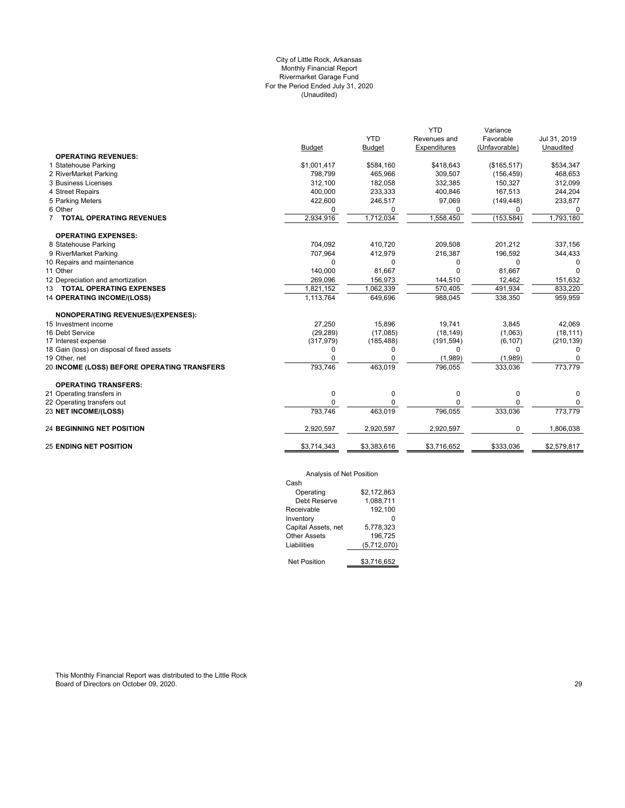## (Unaudited) City of Little Rock, Arkansas Monthly Financial Report Rivermarket Garage Fund For the Period Ended July 31, 2020

|                                             |               |               | <b>YTD</b>   | Variance      |              |
|---------------------------------------------|---------------|---------------|--------------|---------------|--------------|
|                                             |               | <b>YTD</b>    | Revenues and | Favorable     | Jul 31, 2019 |
|                                             | <b>Budget</b> | <b>Budget</b> | Expenditures | (Unfavorable) | Unaudited    |
| <b>OPERATING REVENUES:</b>                  |               |               |              |               |              |
| 1 Statehouse Parking                        | \$1,001,417   | \$584,160     | \$418,643    | (\$165,517)   | \$534,347    |
| 2 RiverMarket Parking                       | 798,799       | 465,966       | 309,507      | (156, 459)    | 468,653      |
| 3 Business Licenses                         | 312,100       | 182,058       | 332,385      | 150,327       | 312,099      |
| 4 Street Repairs                            | 400,000       | 233,333       | 400,846      | 167,513       | 244,204      |
| 5 Parking Meters                            | 422,600       | 246,517       | 97,069       | (149, 448)    | 233,877      |
| 6 Other                                     | $\Omega$      | 0             | 0            | 0             | 0            |
| <b>TOTAL OPERATING REVENUES</b>             | 2,934,916     | 1,712,034     | 1,558,450    | (153, 584)    | 1,793,180    |
| <b>OPERATING EXPENSES:</b>                  |               |               |              |               |              |
| 8 Statehouse Parking                        | 704,092       | 410,720       | 209,508      | 201,212       | 337,156      |
| 9 RiverMarket Parking                       | 707,964       | 412,979       | 216,387      | 196,592       | 344,433      |
| 10 Repairs and maintenance                  | $\Omega$      | 0             | O            | $\Omega$      | $\Omega$     |
| 11 Other                                    | 140,000       | 81,667        | U            | 81,667        | <sup>n</sup> |
| 12 Depreciation and amortization            | 269,096       | 156,973       | 144,510      | 12,462        | 151,632      |
| 13 TOTAL OPERATING EXPENSES                 | 1,821,152     | 1,062,339     | 570,405      | 491,934       | 833,220      |
| <b>14 OPERATING INCOME/(LOSS)</b>           | 1,113,764     | 649,696       | 988,045      | 338,350       | 959,959      |
| <b>NONOPERATING REVENUES/(EXPENSES):</b>    |               |               |              |               |              |
| 15 Investment income                        | 27.250        | 15.896        | 19.741       | 3,845         | 42.069       |
| 16 Debt Service                             | (29, 289)     | (17,085)      | (18, 149)    | (1,063)       | (18, 111)    |
| 17 Interest expense                         | (317, 979)    | (185, 488)    | (191, 594)   | (6, 107)      | (210, 139)   |
| 18 Gain (loss) on disposal of fixed assets  | $\Omega$      | 0             | 0            | 0             | $\Omega$     |
| 19 Other, net                               |               | 0             | (1,989)      | (1,989)       |              |
| 20 INCOME (LOSS) BEFORE OPERATING TRANSFERS | 793,746       | 463,019       | 796,055      | 333,036       | 773,779      |
| <b>OPERATING TRANSFERS:</b>                 |               |               |              |               |              |
| 21 Operating transfers in                   | 0             | 0             | 0            | $\mathbf 0$   | $\Omega$     |
| 22 Operating transfers out                  | $\Omega$      | 0             | 0            | $\Omega$      | 0            |
| 23 NET INCOME/(LOSS)                        | 793,746       | 463,019       | 796,055      | 333,036       | 773,779      |
| <b>24 BEGINNING NET POSITION</b>            | 2,920,597     | 2,920,597     | 2,920,597    | 0             | 1,806,038    |
| <b>25 ENDING NET POSITION</b>               | \$3,714,343   | \$3,383,616   | \$3,716,652  | \$333,036     | \$2,579,817  |
|                                             |               |               |              |               |              |

## Analysis of Net Position

| Cash                |             |
|---------------------|-------------|
| Operating           | \$2.172.863 |
| Debt Reserve        | 1,088,711   |
| Receivable          | 192,100     |
| Inventory           |             |
| Capital Assets, net | 5.778.323   |
| <b>Other Assets</b> | 196.725     |
| Liabilities         | (5,712,070) |
|                     |             |
| <b>Net Position</b> | \$3.716.652 |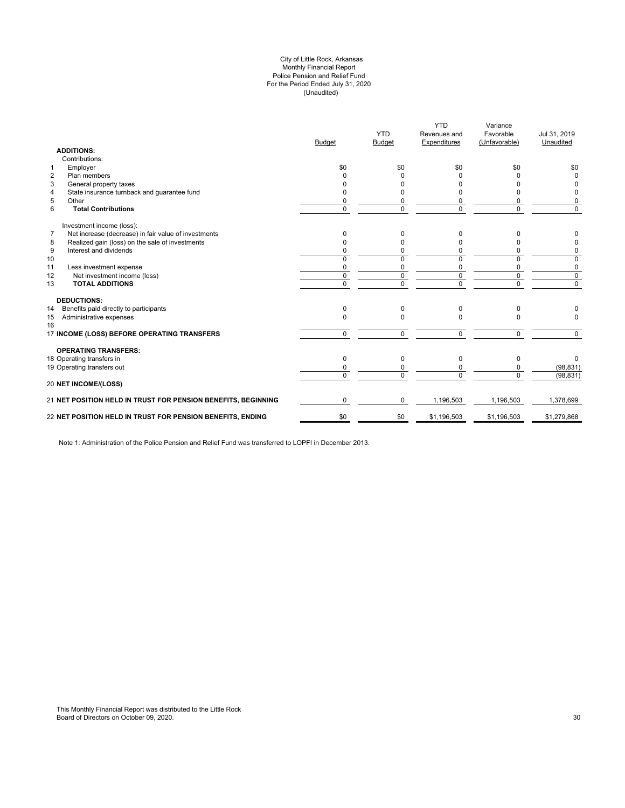#### (Unaudited) City of Little Rock, Arkansas Monthly Financial Report Police Pension and Relief Fund For the Period Ended July 31, 2020

|                | <b>ADDITIONS:</b>                                             | <b>Budget</b>  | <b>YTD</b><br>Budget | <b>YTD</b><br>Revenues and<br>Expenditures | Variance<br>Favorable<br>(Unfavorable) | Jul 31, 2019<br>Unaudited |
|----------------|---------------------------------------------------------------|----------------|----------------------|--------------------------------------------|----------------------------------------|---------------------------|
|                | Contributions:                                                |                |                      |                                            |                                        |                           |
| 1              | Employer                                                      | \$0            | \$0                  | \$0                                        | \$0                                    | \$0                       |
| $\overline{2}$ | Plan members                                                  | <sup>0</sup>   | <sup>0</sup>         | ŋ                                          | U                                      | $\Omega$                  |
| 3              | General property taxes                                        | n              | <sup>0</sup>         |                                            |                                        | <sup>0</sup>              |
| 4              | State insurance turnback and quarantee fund                   | <sup>0</sup>   | <sup>0</sup>         |                                            | n                                      | 0                         |
| 5              | Other                                                         | 0              | 0                    |                                            | 0                                      | 0                         |
| 6              | <b>Total Contributions</b>                                    | $\Omega$       | $\Omega$             | $\Omega$                                   | 0                                      | $\mathbf 0$               |
|                | Investment income (loss):                                     |                |                      |                                            |                                        |                           |
| $\overline{7}$ | Net increase (decrease) in fair value of investments          | $\Omega$       | 0                    | 0                                          | 0                                      | 0                         |
| 8              | Realized gain (loss) on the sale of investments               | $\Omega$       | 0                    |                                            | n                                      | 0                         |
| 9              | Interest and dividends                                        | $\Omega$       | 0                    | 0                                          | 0                                      | 0                         |
| 10             |                                                               | $\Omega$       | $\Omega$             | $\Omega$                                   | 0                                      | 0                         |
| 11             | Less investment expense                                       | 0              | 0                    | 0                                          | 0                                      | 0                         |
| 12             | Net investment income (loss)                                  | $\Omega$       | $\Omega$             | $\Omega$                                   | $\mathbf 0$                            | $\mathbf 0$               |
| 13             | <b>TOTAL ADDITIONS</b>                                        | $\overline{0}$ | $\Omega$             | $\overline{0}$                             | $\overline{0}$                         | $\overline{0}$            |
|                | <b>DEDUCTIONS:</b>                                            |                |                      |                                            |                                        |                           |
| 14             | Benefits paid directly to participants                        | $\Omega$       | $\Omega$             | $\Omega$                                   | 0                                      |                           |
| 15<br>16       | Administrative expenses                                       | $\Omega$       | $\Omega$             | $\Omega$                                   | $\Omega$                               | $\Omega$                  |
|                | 17 INCOME (LOSS) BEFORE OPERATING TRANSFERS                   | $\Omega$       | $\Omega$             | $\Omega$                                   | 0                                      | $\Omega$                  |
|                | <b>OPERATING TRANSFERS:</b>                                   |                |                      |                                            |                                        |                           |
|                | 18 Operating transfers in                                     | $\Omega$       | $\Omega$             | $\Omega$                                   | 0                                      | $\Omega$                  |
|                | 19 Operating transfers out                                    | 0              | 0                    |                                            | 0                                      | (98, 831)                 |
|                | <b>20 NET INCOME/(LOSS)</b>                                   | $\Omega$       | $\Omega$             | $\Omega$                                   | $\Omega$                               | (98, 831)                 |
|                |                                                               |                |                      |                                            |                                        |                           |
|                | 21 NET POSITION HELD IN TRUST FOR PENSION BENEFITS, BEGINNING | $\Omega$       | $\Omega$             | 1,196,503                                  | 1,196,503                              | 1,378,699                 |
|                | 22 NET POSITION HELD IN TRUST FOR PENSION BENEFITS, ENDING    | \$0            | \$0                  | \$1,196,503                                | \$1,196,503                            | \$1,279,868               |
|                |                                                               |                |                      |                                            |                                        |                           |

Note 1: Administration of the Police Pension and Relief Fund was transferred to LOPFI in December 2013.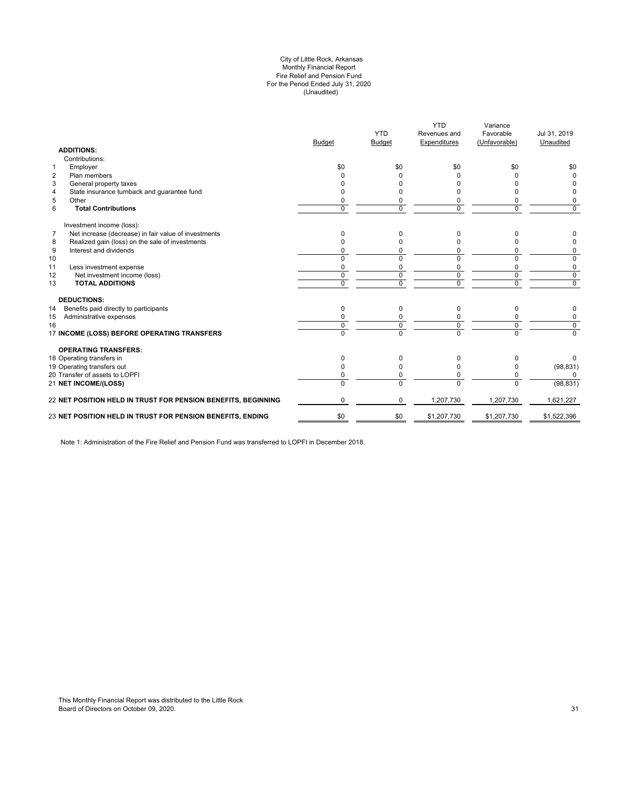#### (Unaudited) City of Little Rock, Arkansas Monthly Financial Report Fire Relief and Pension Fund For the Period Ended July 31, 2020

| <b>ADDITIONS:</b>                                                      | <b>Budget</b> | <b>YTD</b><br><b>Budget</b> | <b>YTD</b><br>Revenues and<br>Expenditures | Variance<br>Favorable<br>(Unfavorable) | Jul 31, 2019<br>Unaudited |
|------------------------------------------------------------------------|---------------|-----------------------------|--------------------------------------------|----------------------------------------|---------------------------|
| Contributions:                                                         |               |                             |                                            |                                        |                           |
| Employer<br>$\mathbf{1}$                                               | \$0           | \$0                         | \$0                                        | \$0                                    | \$0                       |
| $\overline{2}$<br>Plan members                                         |               | 0                           |                                            |                                        | $\Omega$                  |
| 3<br>General property taxes                                            |               |                             |                                            |                                        | 0                         |
| State insurance turnback and guarantee fund<br>4                       |               | O                           |                                            |                                        | 0                         |
| 5<br>Other                                                             |               | 0                           | 0                                          |                                        | 0                         |
| 6<br><b>Total Contributions</b>                                        | $\Omega$      | 0                           | $\Omega$                                   | $\Omega$                               | $\Omega$                  |
| Investment income (loss):                                              |               |                             |                                            |                                        |                           |
| $\overline{7}$<br>Net increase (decrease) in fair value of investments | 0             | 0                           | <sup>0</sup>                               |                                        | 0                         |
| Realized gain (loss) on the sale of investments<br>8                   |               | $\Omega$                    |                                            |                                        | 0                         |
| 9<br>Interest and dividends                                            |               | 0                           | 0                                          |                                        | 0                         |
| 10                                                                     | $\Omega$      | $\Omega$                    | $\Omega$                                   |                                        | 0                         |
| 11<br>Less investment expense                                          | $\Omega$      | 0                           | O                                          | $\Omega$                               | 0                         |
| 12<br>Net investment income (loss)                                     | 0             | 0                           | 0                                          | $\mathbf 0$                            | 0                         |
| <b>TOTAL ADDITIONS</b><br>13                                           | $\Omega$      | $\Omega$                    | $\Omega$                                   | $\Omega$                               | $\mathbf 0$               |
| <b>DEDUCTIONS:</b>                                                     |               |                             |                                            |                                        |                           |
| Benefits paid directly to participants<br>14                           | 0             | 0                           | $\Omega$                                   | 0                                      | 0                         |
| Administrative expenses<br>15                                          |               |                             |                                            |                                        | 0                         |
| 16                                                                     | $\Omega$      | 0                           | $\Omega$                                   | $\Omega$                               | $\Omega$                  |
| 17 INCOME (LOSS) BEFORE OPERATING TRANSFERS                            | $\Omega$      | $\overline{0}$              | $\Omega$                                   | $\Omega$                               | $\overline{0}$            |
| <b>OPERATING TRANSFERS:</b>                                            |               |                             |                                            |                                        |                           |
| 18 Operating transfers in                                              | 0             | 0                           | <sup>0</sup>                               |                                        | 0                         |
| 19 Operating transfers out                                             |               | $\Omega$                    | <sup>0</sup>                               |                                        | (98, 831)                 |
| 20 Transfer of assets to LOPFI                                         |               | 0                           | $\Omega$                                   | $\Omega$                               | 0                         |
| 21 NET INCOME/(LOSS)                                                   | $\Omega$      | $\Omega$                    | $\Omega$                                   | $\Omega$                               | (98, 831)                 |
| 22 NET POSITION HELD IN TRUST FOR PENSION BENEFITS, BEGINNING          | $\Omega$      | $\Omega$                    | 1,207,730                                  | 1,207,730                              | 1,621,227                 |
| 23 NET POSITION HELD IN TRUST FOR PENSION BENEFITS, ENDING             | \$0           | \$0                         | \$1,207,730                                | \$1,207,730                            | \$1,522,396               |
|                                                                        |               |                             |                                            |                                        |                           |

Note 1: Administration of the Fire Relief and Pension Fund was transferred to LOPFI in December 2018.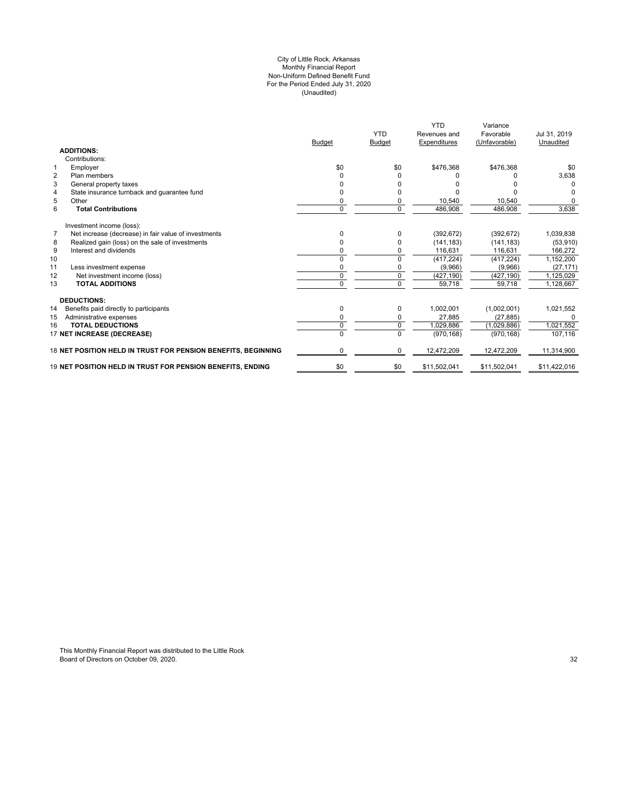#### (Unaudited) For the Period Ended July 31, 2020 City of Little Rock, Arkansas Monthly Financial Report Non-Uniform Defined Benefit Fund

|                                                                        | <b>Budget</b> | <b>YTD</b><br><b>Budget</b> | <b>YTD</b><br>Revenues and<br>Expenditures | Variance<br>Favorable<br>(Unfavorable) | Jul 31, 2019<br>Unaudited |
|------------------------------------------------------------------------|---------------|-----------------------------|--------------------------------------------|----------------------------------------|---------------------------|
| <b>ADDITIONS:</b>                                                      |               |                             |                                            |                                        |                           |
| Contributions:                                                         |               |                             |                                            |                                        |                           |
| $\mathbf 1$<br>Employer                                                | \$0           | \$0                         | \$476,368                                  | \$476,368                              | \$0                       |
| $\overline{2}$<br>Plan members                                         | $\Omega$      | 0                           |                                            |                                        | 3,638                     |
| 3<br>General property taxes                                            | <sup>0</sup>  |                             |                                            |                                        | 0                         |
| State insurance turnback and guarantee fund<br>4                       | 0             | ŋ                           |                                            |                                        | $\Omega$                  |
| 5<br>Other                                                             | 0             | 0                           | 10.540                                     | 10,540                                 | $\Omega$                  |
| 6<br><b>Total Contributions</b>                                        | $\mathbf 0$   | 0                           | 486,908                                    | 486,908                                | 3,638                     |
| Investment income (loss):                                              |               |                             |                                            |                                        |                           |
| $\overline{7}$<br>Net increase (decrease) in fair value of investments | $\Omega$      | 0                           | (392, 672)                                 | (392, 672)                             | 1,039,838                 |
| Realized gain (loss) on the sale of investments<br>8                   | 0             | 0                           | (141, 183)                                 | (141, 183)                             | (53, 910)                 |
| 9<br>Interest and dividends                                            | 0             | 0                           | 116,631                                    | 116,631                                | 166,272                   |
| 10                                                                     | $\Omega$      | 0                           | (417, 224)                                 | (417, 224)                             | 1,152,200                 |
| 11<br>Less investment expense                                          | 0             | 0                           | (9,966)                                    | (9,966)                                | (27, 171)                 |
| 12<br>Net investment income (loss)                                     | $\Omega$      | $\Omega$                    | (427, 190)                                 | (427, 190)                             | 1,125,029                 |
| <b>TOTAL ADDITIONS</b><br>13                                           | $\Omega$      | $\Omega$                    | 59,718                                     | 59,718                                 | 1,128,667                 |
| <b>DEDUCTIONS:</b>                                                     |               |                             |                                            |                                        |                           |
| 14<br>Benefits paid directly to participants                           | 0             | 0                           | 1,002,001                                  | (1,002,001)                            | 1,021,552                 |
| Administrative expenses<br>15                                          | 0             | 0                           | 27.885                                     | (27, 885)                              | $\Omega$                  |
| <b>TOTAL DEDUCTIONS</b><br>16                                          | $\mathbf 0$   | 0                           | 1,029,886                                  | (1,029,886)                            | 1,021,552                 |
| 17 NET INCREASE (DECREASE)                                             | $\Omega$      | $\Omega$                    | (970, 168)                                 | (970, 168)                             | 107,116                   |
| 18 NET POSITION HELD IN TRUST FOR PENSION BENEFITS. BEGINNING          | $\Omega$      | $\Omega$                    | 12,472,209                                 | 12,472,209                             | 11,314,900                |
| 19 NET POSITION HELD IN TRUST FOR PENSION BENEFITS. ENDING             | \$0           | \$0                         | \$11,502,041                               | \$11.502.041                           | \$11,422,016              |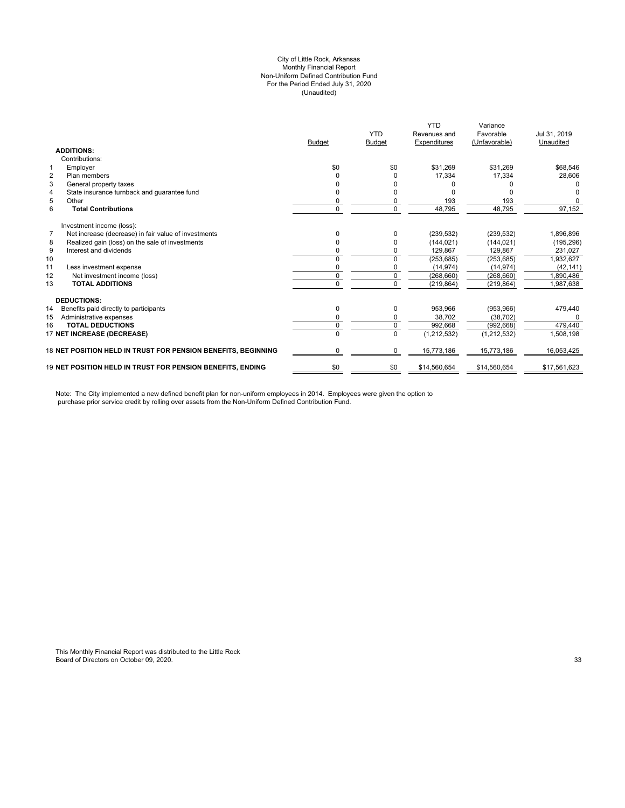#### City of Little Rock, Arkansas (Unaudited) For the Period Ended July 31, 2020 Non-Uniform Defined Contribution Fund Monthly Financial Report

|                                |                                                                   |               | <b>YTD</b>    | <b>YTD</b><br>Revenues and | Variance<br>Favorable | Jul 31, 2019 |
|--------------------------------|-------------------------------------------------------------------|---------------|---------------|----------------------------|-----------------------|--------------|
|                                |                                                                   | <b>Budget</b> | <b>Budget</b> | Expenditures               | (Unfavorable)         | Unaudited    |
| <b>ADDITIONS:</b>              |                                                                   |               |               |                            |                       |              |
| Contributions:                 |                                                                   |               |               |                            |                       |              |
| Employer<br>1                  |                                                                   | \$0           | \$0           | \$31,269                   | \$31,269              | \$68,546     |
| $\overline{2}$<br>Plan members |                                                                   |               |               | 17,334                     | 17,334                | 28,606       |
| 3                              | General property taxes                                            |               |               |                            |                       |              |
| 4                              | State insurance turnback and quarantee fund                       |               |               |                            |                       |              |
| 5<br>Other                     |                                                                   | 0             |               | 193                        | 193                   |              |
| 6                              | <b>Total Contributions</b>                                        | $\Omega$      | $\Omega$      | 48,795                     | 48,795                | 97,152       |
|                                | Investment income (loss):                                         |               |               |                            |                       |              |
| $\overline{7}$                 | Net increase (decrease) in fair value of investments              |               |               | (239, 532)                 | (239, 532)            | 1,896,896    |
| 8                              | Realized gain (loss) on the sale of investments                   | 0             |               | (144, 021)                 | (144, 021)            | (195, 296)   |
| 9                              | Interest and dividends                                            |               |               | 129,867                    | 129,867               | 231,027      |
| 10                             |                                                                   | $\Omega$      | $\Omega$      | (253, 685)                 | (253, 685)            | 1,932,627    |
| 11                             | Less investment expense                                           | 0             |               | (14, 974)                  | (14, 974)             | (42, 141)    |
| 12                             | Net investment income (loss)                                      | 0             | $\mathbf 0$   | (268, 660)                 | (268, 660)            | 1.890.486    |
| 13                             | <b>TOTAL ADDITIONS</b>                                            | $\Omega$      | $\Omega$      | (219, 864)                 | (219, 864)            | 1,987,638    |
| <b>DEDUCTIONS:</b>             |                                                                   |               |               |                            |                       |              |
| 14                             | Benefits paid directly to participants                            | 0             | $\Omega$      | 953,966                    | (953, 966)            | 479,440      |
| 15                             | Administrative expenses                                           | 0             | 0             | 38,702                     | (38, 702)             |              |
| 16                             | <b>TOTAL DEDUCTIONS</b>                                           | 0             | $\Omega$      | 992,668                    | (992, 668)            | 479,440      |
|                                | 17 NET INCREASE (DECREASE)                                        | $\Omega$      | $\Omega$      | (1, 212, 532)              | (1, 212, 532)         | 1,508,198    |
|                                | 18 NET POSITION HELD IN TRUST FOR PENSION BENEFITS. BEGINNING     | 0             | 0             | 15,773,186                 | 15,773,186            | 16.053.425   |
|                                | <b>19 NET POSITION HELD IN TRUST FOR PENSION BENEFITS. ENDING</b> | \$0           | \$0           | \$14,560,654               | \$14,560,654          | \$17,561,623 |

Note: The City implemented a new defined benefit plan for non-uniform employees in 2014. Employees were given the option to purchase prior service credit by rolling over assets from the Non-Uniform Defined Contribution Fund.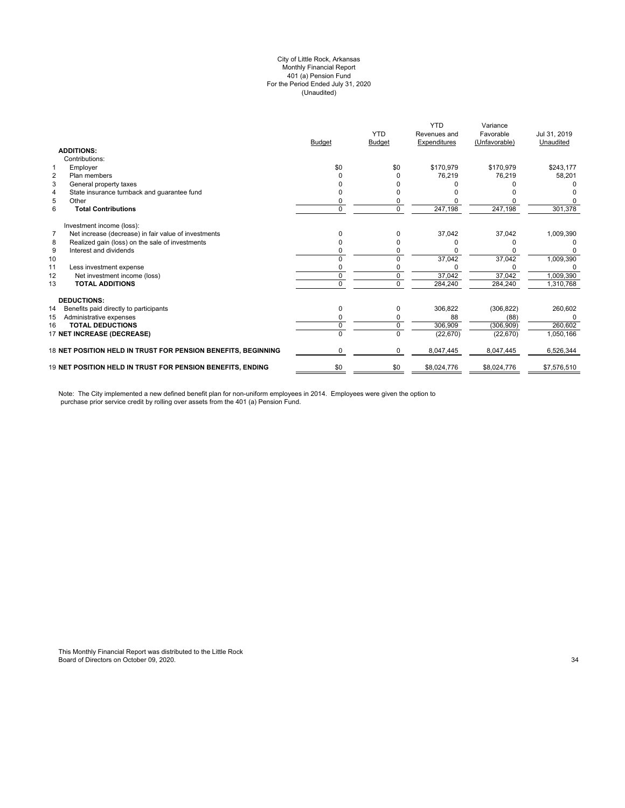#### (Unaudited) City of Little Rock, Arkansas Monthly Financial Report 401 (a) Pension Fund For the Period Ended July 31, 2020

|                |                                                               | <b>Budget</b> | <b>YTD</b><br><b>Budget</b> | <b>YTD</b><br>Revenues and<br>Expenditures | Variance<br>Favorable<br>(Unfavorable) | Jul 31, 2019<br>Unaudited |
|----------------|---------------------------------------------------------------|---------------|-----------------------------|--------------------------------------------|----------------------------------------|---------------------------|
|                | <b>ADDITIONS:</b>                                             |               |                             |                                            |                                        |                           |
|                | Contributions:                                                |               |                             |                                            |                                        |                           |
| 1              | Employer                                                      | \$0           | \$0                         | \$170,979                                  | \$170,979                              | \$243,177                 |
| $\overline{2}$ | Plan members                                                  |               |                             | 76,219                                     | 76,219                                 | 58,201                    |
| 3              | General property taxes                                        |               |                             |                                            |                                        |                           |
| 4              | State insurance turnback and quarantee fund                   |               |                             |                                            |                                        |                           |
| 5              | Other                                                         |               |                             |                                            |                                        |                           |
| 6              | <b>Total Contributions</b>                                    | 0             | 0                           | 247,198                                    | 247,198                                | 301,378                   |
|                | Investment income (loss):                                     |               |                             |                                            |                                        |                           |
| $\overline{7}$ | Net increase (decrease) in fair value of investments          | n             | <sup>0</sup>                | 37,042                                     | 37,042                                 | 1,009,390                 |
| 8              | Realized gain (loss) on the sale of investments               |               |                             |                                            |                                        |                           |
| 9              | Interest and dividends                                        |               |                             |                                            |                                        |                           |
| 10             |                                                               |               |                             | 37,042                                     | 37,042                                 | 1,009,390                 |
| 11             | Less investment expense                                       |               |                             |                                            |                                        |                           |
| 12             | Net investment income (loss)                                  | 0             | 0                           | 37,042                                     | 37,042                                 | 1,009,390                 |
| 13             | <b>TOTAL ADDITIONS</b>                                        | U             | $\Omega$                    | 284,240                                    | 284,240                                | 1,310,768                 |
|                | <b>DEDUCTIONS:</b>                                            |               |                             |                                            |                                        |                           |
| 14             | Benefits paid directly to participants                        | 0             | 0                           | 306,822                                    | (306, 822)                             | 260,602                   |
| 15             | Administrative expenses                                       |               |                             | 88                                         | (88)                                   | O                         |
| 16             | <b>TOTAL DEDUCTIONS</b>                                       | 0             | 0                           | 306,909                                    | (306, 909)                             | 260,602                   |
|                | 17 NET INCREASE (DECREASE)                                    | 0             | $\Omega$                    | (22, 670)                                  | (22, 670)                              | 1,050,166                 |
|                | 18 NET POSITION HELD IN TRUST FOR PENSION BENEFITS, BEGINNING | 0             | 0                           | 8,047,445                                  | 8,047,445                              | 6,526,344                 |
|                | 19 NET POSITION HELD IN TRUST FOR PENSION BENEFITS, ENDING    | \$0           | \$0                         | \$8,024,776                                | \$8,024,776                            | \$7,576,510               |

Note: The City implemented a new defined benefit plan for non-uniform employees in 2014. Employees were given the option to purchase prior service credit by rolling over assets from the 401 (a) Pension Fund.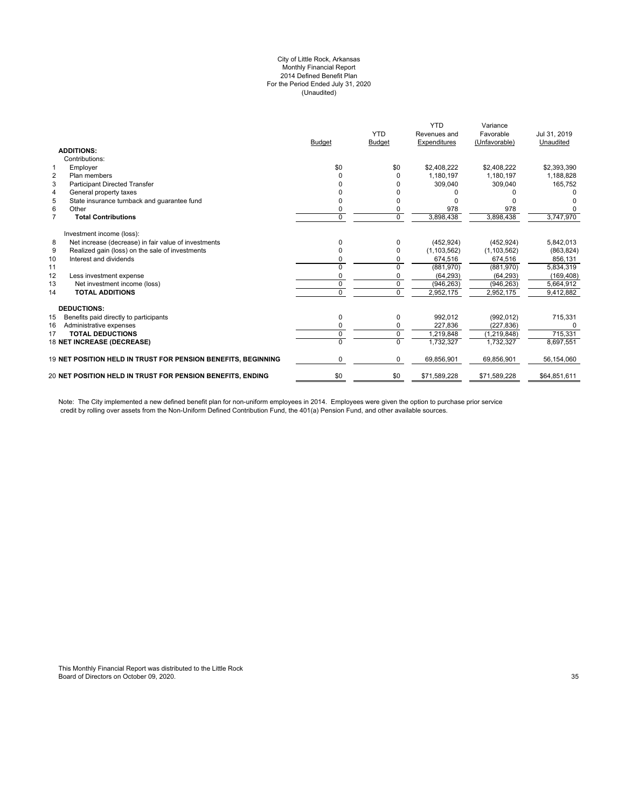#### City of Little Rock, Arkansas Monthly Financial Report 2014 Defined Benefit Plan For the Period Ended July 31, 2020 (Unaudited)

|                | <b>ADDITIONS:</b>                                                 | <b>Budget</b> | <b>YTD</b><br><b>Budget</b> | <b>YTD</b><br>Revenues and<br>Expenditures | Variance<br>Favorable<br>(Unfavorable) | Jul 31, 2019<br>Unaudited |
|----------------|-------------------------------------------------------------------|---------------|-----------------------------|--------------------------------------------|----------------------------------------|---------------------------|
|                | Contributions:                                                    |               |                             |                                            |                                        |                           |
| $\mathbf{1}$   | Employer                                                          | \$0           | \$0                         | \$2.408.222                                | \$2,408,222                            | \$2,393,390               |
| $\overline{2}$ | Plan members                                                      | ი             | O                           | 1,180,197                                  | 1,180,197                              | 1,188,828                 |
| 3              | <b>Participant Directed Transfer</b>                              |               |                             | 309,040                                    | 309,040                                | 165,752                   |
| 4              | General property taxes                                            |               |                             |                                            |                                        |                           |
| 5              | State insurance turnback and quarantee fund                       | n             |                             |                                            |                                        |                           |
| 6              | Other                                                             | 0             |                             | 978                                        | 978                                    |                           |
| $\overline{7}$ | <b>Total Contributions</b>                                        | 0             | $\Omega$                    | 3,898,438                                  | 3,898,438                              | 3,747,970                 |
|                | Investment income (loss):                                         |               |                             |                                            |                                        |                           |
| 8              | Net increase (decrease) in fair value of investments              | 0             | 0                           | (452, 924)                                 | (452, 924)                             | 5,842,013                 |
| 9              | Realized gain (loss) on the sale of investments                   |               | O                           | (1, 103, 562)                              | (1, 103, 562)                          | (863, 824)                |
| 10             | Interest and dividends                                            | n             |                             | 674,516                                    | 674,516                                | 856,131                   |
| 11             |                                                                   | 0             | $\Omega$                    | (881,970)                                  | (881,970)                              | 5,834,319                 |
| 12             | Less investment expense                                           | n             | 0                           | (64, 293)                                  | (64, 293)                              | (169, 408)                |
| 13             | Net investment income (loss)                                      | 0             | $\Omega$                    | (946, 263)                                 | (946, 263)                             | 5.664.912                 |
| 14             | <b>TOTAL ADDITIONS</b>                                            | 0             | $\overline{0}$              | 2,952,175                                  | 2,952,175                              | 9,412,882                 |
|                | <b>DEDUCTIONS:</b>                                                |               |                             |                                            |                                        |                           |
| 15             | Benefits paid directly to participants                            | 0             | 0                           | 992,012                                    | (992, 012)                             | 715,331                   |
| 16             | Administrative expenses                                           | 0             | 0                           | 227,836                                    | (227, 836)                             | <sup>0</sup>              |
| 17             | <b>TOTAL DEDUCTIONS</b>                                           | 0             | $\mathbf 0$                 | 1.219.848                                  | (1, 219, 848)                          | 715,331                   |
|                | 18 NET INCREASE (DECREASE)                                        | U             | $\Omega$                    | 1,732,327                                  | 1.732.327                              | 8,697,551                 |
|                | 19 NET POSITION HELD IN TRUST FOR PENSION BENEFITS, BEGINNING     | 0             | 0                           | 69,856,901                                 | 69,856,901                             | 56,154,060                |
|                | <b>20 NET POSITION HELD IN TRUST FOR PENSION BENEFITS. ENDING</b> | \$0           | \$0                         | \$71,589,228                               | \$71,589,228                           | \$64,851,611              |
|                |                                                                   |               |                             |                                            |                                        |                           |

Note: The City implemented a new defined benefit plan for non-uniform employees in 2014. Employees were given the option to purchase prior service credit by rolling over assets from the Non-Uniform Defined Contribution Fund, the 401(a) Pension Fund, and other available sources.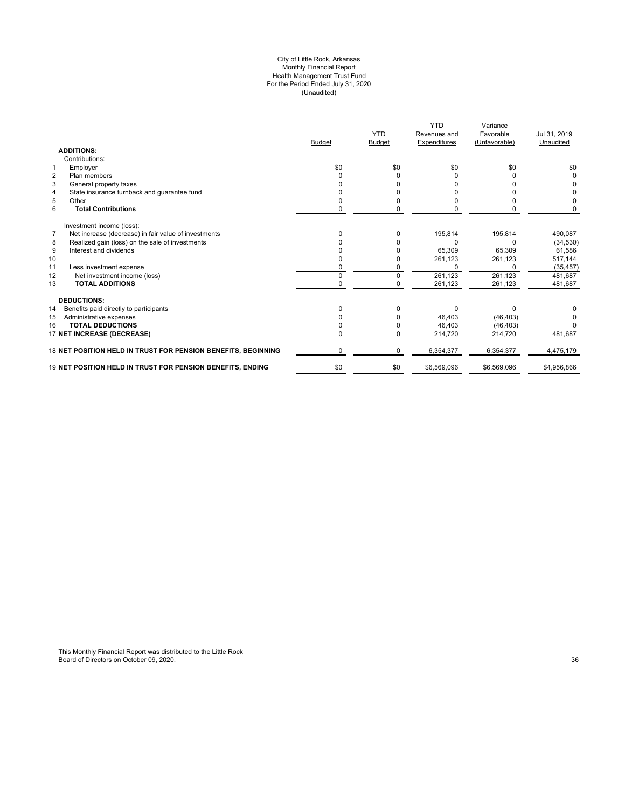#### City of Little Rock, Arkansas Monthly Financial Report Health Management Trust Fund For the Period Ended July 31, 2020 (Unaudited)

|                                                                        | <b>Budget</b> | <b>YTD</b><br><b>Budget</b> | <b>YTD</b><br>Revenues and<br>Expenditures | Variance<br>Favorable<br>(Unfavorable) | Jul 31, 2019<br>Unaudited |
|------------------------------------------------------------------------|---------------|-----------------------------|--------------------------------------------|----------------------------------------|---------------------------|
| <b>ADDITIONS:</b>                                                      |               |                             |                                            |                                        |                           |
| Contributions:                                                         |               |                             |                                            |                                        |                           |
| 1<br>Employer                                                          | \$0           | \$0                         | \$0                                        | \$0                                    | \$0                       |
| $\overline{2}$<br>Plan members                                         |               | 0                           |                                            |                                        | 0                         |
| 3<br>General property taxes                                            |               |                             |                                            |                                        | <sup>0</sup>              |
| State insurance turnback and guarantee fund<br>4                       |               |                             |                                            |                                        | 0                         |
| 5<br>Other                                                             | ŋ             |                             |                                            | 0                                      | 0                         |
| 6<br><b>Total Contributions</b>                                        | 0             | $\Omega$                    | 0                                          | $\Omega$                               | $\Omega$                  |
| Investment income (loss):                                              |               |                             |                                            |                                        |                           |
| $\overline{7}$<br>Net increase (decrease) in fair value of investments | 0             |                             | 195,814                                    | 195,814                                | 490,087                   |
| Realized gain (loss) on the sale of investments<br>8                   | 0             |                             | ŋ                                          | 0                                      | (34, 530)                 |
| 9<br>Interest and dividends                                            | ი             |                             | 65,309                                     | 65,309                                 | 61,586                    |
| 10                                                                     |               |                             | 261,123                                    | 261,123                                | 517,144                   |
| 11<br>Less investment expense                                          |               |                             |                                            |                                        | (35, 457)                 |
| 12<br>Net investment income (loss)                                     | ŋ             |                             | 261,123                                    | 261,123                                | 481,687                   |
| 13<br><b>TOTAL ADDITIONS</b>                                           | 0             |                             | 261,123                                    | 261,123                                | 481.687                   |
| <b>DEDUCTIONS:</b>                                                     |               |                             |                                            |                                        |                           |
| 14<br>Benefits paid directly to participants                           | 0             | O                           | $\Omega$                                   | $\Omega$                               | 0                         |
| 15<br>Administrative expenses                                          | 0             |                             | 46,403                                     | (46, 403)                              | 0                         |
| <b>TOTAL DEDUCTIONS</b><br>16                                          | 0             | $\Omega$                    | 46,403                                     | (46, 403)                              | $\overline{0}$            |
| 17 NET INCREASE (DECREASE)                                             |               |                             | 214,720                                    | 214,720                                | 481,687                   |
| 18 NET POSITION HELD IN TRUST FOR PENSION BENEFITS, BEGINNING          | 0             | $\Omega$                    | 6,354,377                                  | 6,354,377                              | 4,475,179                 |
| 19 NET POSITION HELD IN TRUST FOR PENSION BENEFITS, ENDING             | \$0           | \$0                         | \$6,569,096                                | \$6,569,096                            | \$4,956,866               |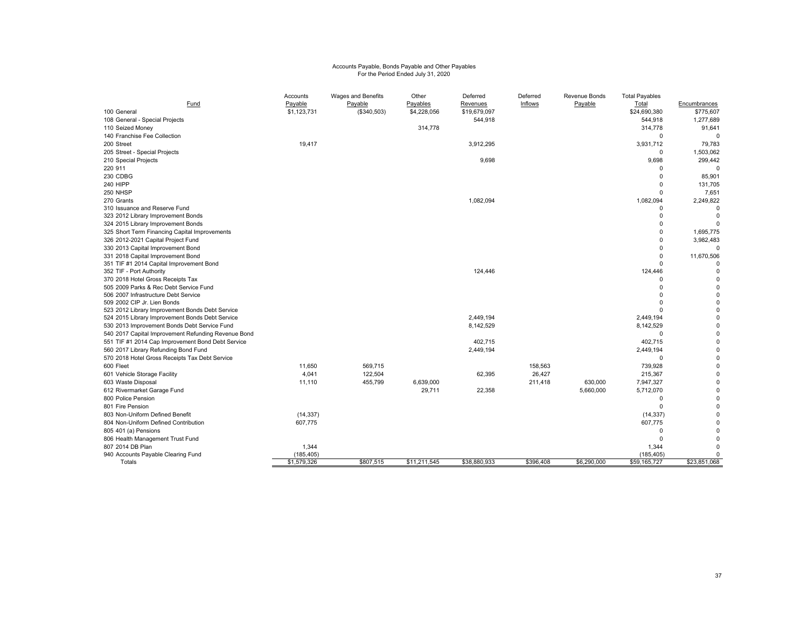# Accounts Payable, Bonds Payable and Other Payables For the Period Ended July 31, 2020

| Fund                                                                                      | Accounts<br>Payable | Wages and Benefits     | Other                   | Deferred<br>Revenues | Deferred<br>Inflows | Revenue Bonds | <b>Total Payables</b> |                           |
|-------------------------------------------------------------------------------------------|---------------------|------------------------|-------------------------|----------------------|---------------------|---------------|-----------------------|---------------------------|
| 100 General                                                                               | \$1,123,731         | Payable<br>(\$340,503) | Payables<br>\$4,228,056 | \$19,679,097         |                     | Payable       | Total<br>\$24,690,380 | Encumbrances<br>\$775,607 |
| 108 General - Special Projects                                                            |                     |                        |                         | 544,918              |                     |               | 544,918               | 1,277,689                 |
| 110 Seized Money                                                                          |                     |                        | 314,778                 |                      |                     |               | 314,778               | 91,641                    |
| 140 Franchise Fee Collection                                                              |                     |                        |                         |                      |                     |               | $\mathbf 0$           | $\Omega$                  |
| 200 Street                                                                                | 19,417              |                        |                         | 3,912,295            |                     |               | 3,931,712             | 79,783                    |
| 205 Street - Special Projects                                                             |                     |                        |                         |                      |                     |               | $\mathbf 0$           | 1,503,062                 |
| 210 Special Projects                                                                      |                     |                        |                         | 9,698                |                     |               | 9,698                 | 299,442                   |
| 220 911                                                                                   |                     |                        |                         |                      |                     |               | $\mathbf 0$           | $\Omega$                  |
| 230 CDBG                                                                                  |                     |                        |                         |                      |                     |               | $\Omega$              | 85,901                    |
| 240 HIPP                                                                                  |                     |                        |                         |                      |                     |               | $\mathbf 0$           | 131,705                   |
| 250 NHSP                                                                                  |                     |                        |                         |                      |                     |               | $\mathbf 0$           | 7,651                     |
| 270 Grants                                                                                |                     |                        |                         | 1,082,094            |                     |               | 1,082,094             | 2,249,822                 |
| 310 Issuance and Reserve Fund                                                             |                     |                        |                         |                      |                     |               | 0                     |                           |
| 323 2012 Library Improvement Bonds                                                        |                     |                        |                         |                      |                     |               | $\mathbf 0$           | $\mathbf 0$               |
| 324 2015 Library Improvement Bonds                                                        |                     |                        |                         |                      |                     |               | $\Omega$              |                           |
| 325 Short Term Financing Capital Improvements                                             |                     |                        |                         |                      |                     |               | $\Omega$              | 1,695,775                 |
| 326 2012-2021 Capital Project Fund                                                        |                     |                        |                         |                      |                     |               | $\Omega$              | 3,982,483                 |
| 330 2013 Capital Improvement Bond                                                         |                     |                        |                         |                      |                     |               | $\Omega$              | $\Omega$                  |
| 331 2018 Capital Improvement Bond                                                         |                     |                        |                         |                      |                     |               | $\Omega$              | 11,670,506                |
| 351 TIF #1 2014 Capital Improvement Bond                                                  |                     |                        |                         |                      |                     |               | $\Omega$              |                           |
| 352 TIF - Port Authority                                                                  |                     |                        |                         | 124,446              |                     |               | 124,446               | $\Omega$                  |
| 370 2018 Hotel Gross Receipts Tax                                                         |                     |                        |                         |                      |                     |               | $\Omega$              | $\Omega$                  |
| 505 2009 Parks & Rec Debt Service Fund                                                    |                     |                        |                         |                      |                     |               | $\Omega$              | n                         |
| 506 2007 Infrastructure Debt Service                                                      |                     |                        |                         |                      |                     |               | $\Omega$              | $\Omega$                  |
| 509 2002 CIP Jr. Lien Bonds                                                               |                     |                        |                         |                      |                     |               | $\Omega$              | $\Omega$                  |
| 523 2012 Library Improvement Bonds Debt Service                                           |                     |                        |                         |                      |                     |               | $\Omega$              | $\Omega$                  |
| 524 2015 Library Improvement Bonds Debt Service                                           |                     |                        |                         | 2,449,194            |                     |               | 2,449,194             | $\Omega$                  |
| 530 2013 Improvement Bonds Debt Service Fund                                              |                     |                        |                         | 8,142,529            |                     |               | 8,142,529<br>$\Omega$ | 0<br>$\Omega$             |
| 540 2017 Capital Improvement Refunding Revenue Bond                                       |                     |                        |                         | 402,715              |                     |               | 402,715               | $\Omega$                  |
| 551 TIF #1 2014 Cap Improvement Bond Debt Service<br>560 2017 Library Refunding Bond Fund |                     |                        |                         | 2,449,194            |                     |               | 2,449,194             | 0                         |
| 570 2018 Hotel Gross Receipts Tax Debt Service                                            |                     |                        |                         |                      |                     |               | $\mathbf 0$           | $\Omega$                  |
| 600 Fleet                                                                                 | 11,650              | 569,715                |                         |                      | 158,563             |               | 739,928               | 0                         |
| 601 Vehicle Storage Facility                                                              | 4,041               | 122,504                |                         | 62,395               | 26,427              |               | 215,367               | $\Omega$                  |
| 603 Waste Disposal                                                                        | 11,110              | 455,799                | 6,639,000               |                      | 211,418             | 630,000       | 7,947,327             | $\Omega$                  |
| 612 Rivermarket Garage Fund                                                               |                     |                        | 29,711                  | 22,358               |                     | 5,660,000     | 5,712,070             | 0                         |
| 800 Police Pension                                                                        |                     |                        |                         |                      |                     |               | $^{\circ}$            | $\Omega$                  |
| 801 Fire Pension                                                                          |                     |                        |                         |                      |                     |               | $\mathbf 0$           | $\Omega$                  |
| 803 Non-Uniform Defined Benefit                                                           | (14, 337)           |                        |                         |                      |                     |               | (14, 337)             | $\Omega$                  |
| 804 Non-Uniform Defined Contribution                                                      | 607,775             |                        |                         |                      |                     |               | 607,775               | $\Omega$                  |
| 805 401 (a) Pensions                                                                      |                     |                        |                         |                      |                     |               | $\Omega$              | $\Omega$                  |
| 806 Health Management Trust Fund                                                          |                     |                        |                         |                      |                     |               | $\Omega$              | n                         |
| 807 2014 DB Plan                                                                          | 1,344               |                        |                         |                      |                     |               | 1,344                 | $\Omega$                  |
| 940 Accounts Payable Clearing Fund                                                        | (185, 405)          |                        |                         |                      |                     |               | (185, 405)            | 0                         |
| Totals                                                                                    | \$1,579,326         | \$807,515              | \$11,211,545            | \$38,880,933         | \$396,408           | \$6,290,000   | \$59,165,727          | \$23,851,068              |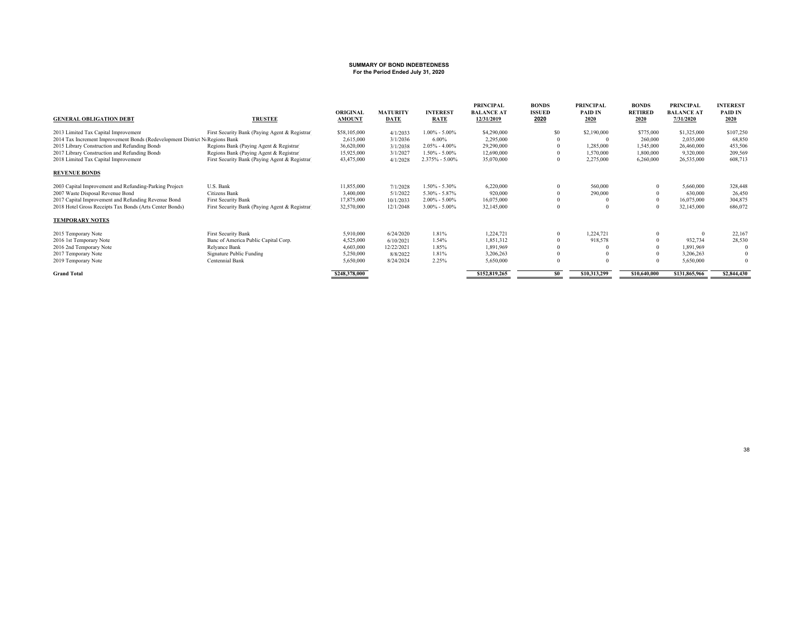# **SUMMARY OF BOND INDEBTEDNESS For the Period Ended July 31, 2020**

| <b>TRUSTEE</b>                                                              | <b>ORIGINAL</b><br><b>AMOUNT</b>                                                          | <b>MATURITY</b><br><b>DATE</b> | <b>INTEREST</b><br><b>RATE</b> | PRINCIPAL<br><b>BALANCE AT</b><br>12/31/2019                 | <b>BONDS</b><br><b>ISSUED</b><br>2020  | PRINCIPAL<br>PAID IN<br>2020 | <b>BONDS</b><br><b>RETIRED</b><br>2020 | PRINCIPAL<br><b>BALANCE AT</b><br>7/31/2020 | <b>INTEREST</b><br>PAID IN<br>2020 |
|-----------------------------------------------------------------------------|-------------------------------------------------------------------------------------------|--------------------------------|--------------------------------|--------------------------------------------------------------|----------------------------------------|------------------------------|----------------------------------------|---------------------------------------------|------------------------------------|
| First Security Bank (Paying Agent & Registrar)                              | \$58,105,000                                                                              | 4/1/2033                       | $1.00\% - 5.00\%$              | \$4,290,000                                                  | \$0                                    | \$2,190,000                  | \$775,000                              | \$1,325,000                                 | \$107,250                          |
| 2014 Tax Increment Improvement Bonds (Redevelopment District NoRegions Bank | 2,615,000                                                                                 | 3/1/2036                       | $6.00\%$                       | 2,295,000                                                    |                                        |                              | 260,000                                | 2,035,000                                   | 68,850                             |
| Regions Bank (Paying Agent & Registrar)                                     | 36,620,000                                                                                | 3/1/2038                       |                                |                                                              |                                        | 1,285,000                    | 1,545,000                              | 26,460,000                                  | 453,506                            |
|                                                                             |                                                                                           |                                |                                |                                                              |                                        |                              |                                        |                                             | 209,569                            |
|                                                                             | 43,475,000                                                                                | 4/1/2028                       |                                |                                                              | $\mathbf{0}$                           |                              | 6,260,000                              | 26,535,000                                  | 608,713                            |
|                                                                             |                                                                                           |                                |                                |                                                              |                                        |                              |                                        |                                             |                                    |
| U.S. Bank                                                                   | 11,855,000                                                                                | 7/1/2028                       | $1.50\% - 5.30\%$              | 6,220,000                                                    | $\Omega$                               | 560,000                      | $\Omega$                               | 5,660,000                                   | 328,448                            |
| Citizens Bank                                                               | 3,400,000                                                                                 | 5/1/2022                       | $5.30\% - 5.87\%$              | 920,000                                                      |                                        | 290,000                      |                                        | 630,000                                     | 26,450                             |
| <b>First Security Bank</b>                                                  | 17,875,000                                                                                | 10/1/2033                      | $2.00\% - 5.00\%$              | 16,075,000                                                   |                                        |                              |                                        | 16,075,000                                  | 304,875                            |
| First Security Bank (Paying Agent & Registrar)                              | 32,570,000                                                                                | 12/1/2048                      | $3.00\% - 5.00\%$              | 32,145,000                                                   | $\Omega$                               |                              | $\Omega$                               | 32,145,000                                  | 686,072                            |
|                                                                             |                                                                                           |                                |                                |                                                              |                                        |                              |                                        |                                             |                                    |
| <b>First Security Bank</b>                                                  | 5,910,000                                                                                 | 6/24/2020                      | 1.81%                          | 1,224,721                                                    | $\Omega$                               | 1,224,721                    |                                        | $\Omega$                                    | 22,167                             |
| Banc of America Public Capital Corp.                                        | 4,525,000                                                                                 | 6/10/2021                      | 1.54%                          | 1,851,312                                                    |                                        | 918,578                      |                                        | 932,734                                     | 28,530                             |
| Relyance Bank                                                               | 4,603,000                                                                                 | 12/22/2021                     | 1.85%                          | 1,891,969                                                    |                                        |                              |                                        | 1.891.969                                   |                                    |
| Signature Public Funding                                                    | 5,250,000                                                                                 | 8/8/2022                       | 1.81%                          | 3,206,263                                                    |                                        |                              |                                        | 3,206,263                                   |                                    |
| Centennial Bank                                                             | 5,650,000                                                                                 | 8/24/2024                      | 2.25%                          | 5,650,000                                                    | $\Omega$                               |                              |                                        | 5,650,000                                   | $\theta$                           |
|                                                                             | \$248,378,000                                                                             |                                |                                | \$152,819,265                                                | S <sub>0</sub>                         | \$10,313,299                 | \$10,640,000                           | \$131,865,966                               | \$2,844,430                        |
|                                                                             | Regions Bank (Paying Agent & Registrar)<br>First Security Bank (Paying Agent & Registrar) | 15,925,000                     | 3/1/2027                       | $2.05\% - 4.00\%$<br>$1.50\% - 5.00\%$<br>$2.375\% - 5.00\%$ | 29,290,000<br>12,690,000<br>35,070,000 |                              | 1,570,000<br>2,275,000                 | 1,800,000                                   | 9,320,000                          |